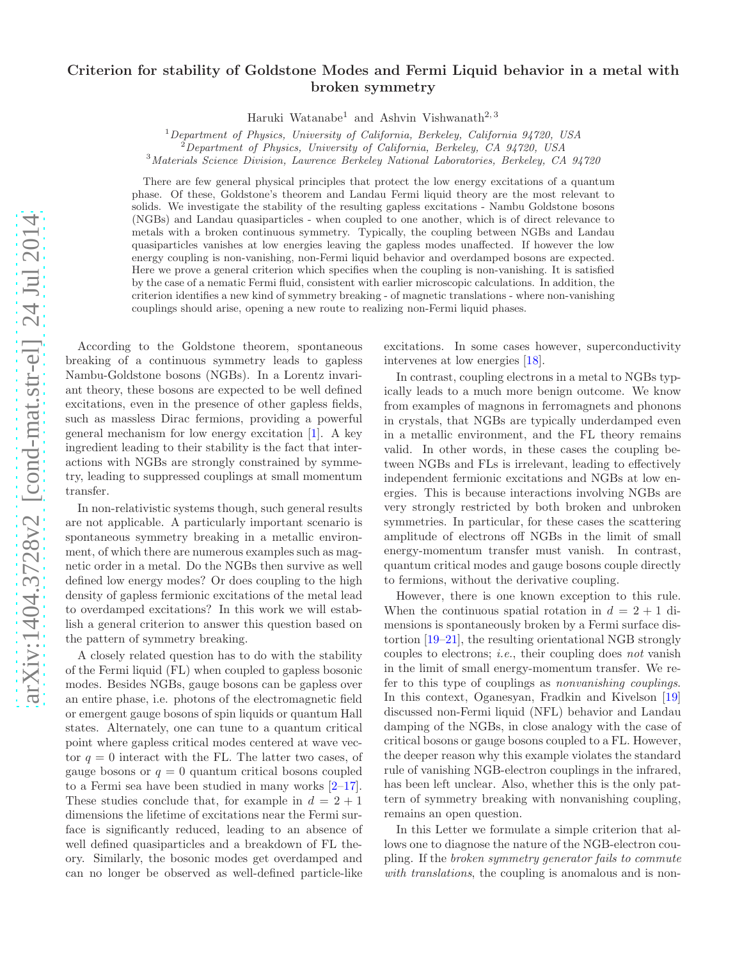# arXiv:1404.3728v2 [cond-mat.str-el] 24 Jul 2014 [arXiv:1404.3728v2 \[cond-mat.str-el\] 24 Jul 2014](http://arxiv.org/abs/1404.3728v2)

# Criterion for stability of Goldstone Modes and Fermi Liquid behavior in a metal with broken symmetry

Haruki Watanabe<sup>1</sup> and Ashvin Vishwanath<sup>2, 3</sup>

<sup>1</sup>*Department of Physics, University of California, Berkeley, California 94720, USA*

<sup>2</sup>*Department of Physics, University of California, Berkeley, CA 94720, USA*

<sup>3</sup>*Materials Science Division, Lawrence Berkeley National Laboratories, Berkeley, CA 94720*

There are few general physical principles that protect the low energy excitations of a quantum phase. Of these, Goldstone's theorem and Landau Fermi liquid theory are the most relevant to solids. We investigate the stability of the resulting gapless excitations - Nambu Goldstone bosons (NGBs) and Landau quasiparticles - when coupled to one another, which is of direct relevance to metals with a broken continuous symmetry. Typically, the coupling between NGBs and Landau quasiparticles vanishes at low energies leaving the gapless modes unaffected. If however the low energy coupling is non-vanishing, non-Fermi liquid behavior and overdamped bosons are expected. Here we prove a general criterion which specifies when the coupling is non-vanishing. It is satisfied by the case of a nematic Fermi fluid, consistent with earlier microscopic calculations. In addition, the criterion identifies a new kind of symmetry breaking - of magnetic translations - where non-vanishing couplings should arise, opening a new route to realizing non-Fermi liquid phases.

According to the Goldstone theorem, spontaneous breaking of a continuous symmetry leads to gapless Nambu-Goldstone bosons (NGBs). In a Lorentz invariant theory, these bosons are expected to be well defined excitations, even in the presence of other gapless fields, such as massless Dirac fermions, providing a powerful general mechanism for low energy excitation [\[1\]](#page-5-0). A key ingredient leading to their stability is the fact that interactions with NGBs are strongly constrained by symmetry, leading to suppressed couplings at small momentum transfer.

In non-relativistic systems though, such general results are not applicable. A particularly important scenario is spontaneous symmetry breaking in a metallic environment, of which there are numerous examples such as magnetic order in a metal. Do the NGBs then survive as well defined low energy modes? Or does coupling to the high density of gapless fermionic excitations of the metal lead to overdamped excitations? In this work we will establish a general criterion to answer this question based on the pattern of symmetry breaking.

A closely related question has to do with the stability of the Fermi liquid (FL) when coupled to gapless bosonic modes. Besides NGBs, gauge bosons can be gapless over an entire phase, i.e. photons of the electromagnetic field or emergent gauge bosons of spin liquids or quantum Hall states. Alternately, one can tune to a quantum critical point where gapless critical modes centered at wave vector  $q = 0$  interact with the FL. The latter two cases, of gauge bosons or  $q = 0$  quantum critical bosons coupled to a Fermi sea have been studied in many works [\[2](#page-5-1)[–17\]](#page-5-2). These studies conclude that, for example in  $d = 2 + 1$ dimensions the lifetime of excitations near the Fermi surface is significantly reduced, leading to an absence of well defined quasiparticles and a breakdown of FL theory. Similarly, the bosonic modes get overdamped and can no longer be observed as well-defined particle-like

excitations. In some cases however, superconductivity intervenes at low energies [\[18\]](#page-5-3).

In contrast, coupling electrons in a metal to NGBs typically leads to a much more benign outcome. We know from examples of magnons in ferromagnets and phonons in crystals, that NGBs are typically underdamped even in a metallic environment, and the FL theory remains valid. In other words, in these cases the coupling between NGBs and FLs is irrelevant, leading to effectively independent fermionic excitations and NGBs at low energies. This is because interactions involving NGBs are very strongly restricted by both broken and unbroken symmetries. In particular, for these cases the scattering amplitude of electrons off NGBs in the limit of small energy-momentum transfer must vanish. In contrast, quantum critical modes and gauge bosons couple directly to fermions, without the derivative coupling.

However, there is one known exception to this rule. When the continuous spatial rotation in  $d = 2 + 1$  dimensions is spontaneously broken by a Fermi surface distortion [\[19](#page-5-4)[–21\]](#page-5-5), the resulting orientational NGB strongly couples to electrons; i.e., their coupling does not vanish in the limit of small energy-momentum transfer. We refer to this type of couplings as nonvanishing couplings. In this context, Oganesyan, Fradkin and Kivelson [\[19](#page-5-4)] discussed non-Fermi liquid (NFL) behavior and Landau damping of the NGBs, in close analogy with the case of critical bosons or gauge bosons coupled to a FL. However, the deeper reason why this example violates the standard rule of vanishing NGB-electron couplings in the infrared, has been left unclear. Also, whether this is the only pattern of symmetry breaking with nonvanishing coupling, remains an open question.

In this Letter we formulate a simple criterion that allows one to diagnose the nature of the NGB-electron coupling. If the broken symmetry generator fails to commute with translations, the coupling is anomalous and is non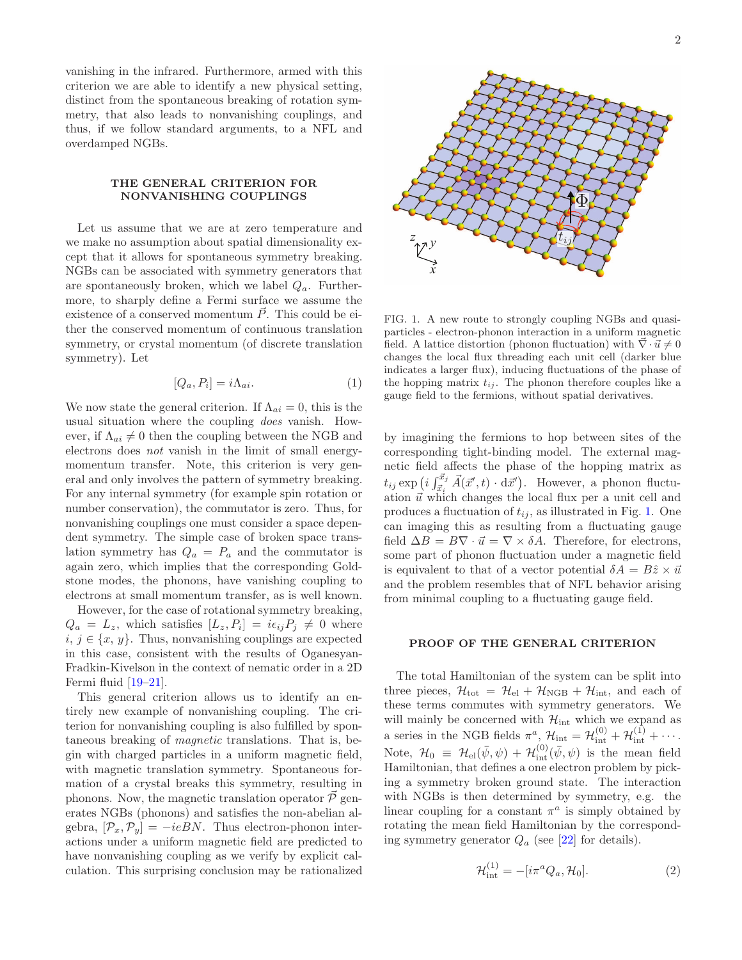vanishing in the infrared. Furthermore, armed with this criterion we are able to identify a new physical setting, distinct from the spontaneous breaking of rotation symmetry, that also leads to nonvanishing couplings, and thus, if we follow standard arguments, to a NFL and overdamped NGBs.

## THE GENERAL CRITERION FOR NONVANISHING COUPLINGS

Let us assume that we are at zero temperature and we make no assumption about spatial dimensionality except that it allows for spontaneous symmetry breaking. NGBs can be associated with symmetry generators that are spontaneously broken, which we label  $Q_a$ . Furthermore, to sharply define a Fermi surface we assume the existence of a conserved momentum  $\vec{P}$ . This could be either the conserved momentum of continuous translation symmetry, or crystal momentum (of discrete translation symmetry). Let

$$
[Q_a, P_i] = i\Lambda_{ai}.\tag{1}
$$

We now state the general criterion. If  $\Lambda_{ai} = 0$ , this is the usual situation where the coupling does vanish. However, if  $\Lambda_{ai} \neq 0$  then the coupling between the NGB and electrons does not vanish in the limit of small energymomentum transfer. Note, this criterion is very general and only involves the pattern of symmetry breaking. For any internal symmetry (for example spin rotation or number conservation), the commutator is zero. Thus, for nonvanishing couplings one must consider a space dependent symmetry. The simple case of broken space translation symmetry has  $Q_a = P_a$  and the commutator is again zero, which implies that the corresponding Goldstone modes, the phonons, have vanishing coupling to electrons at small momentum transfer, as is well known.

However, for the case of rotational symmetry breaking,  $Q_a = L_z$ , which satisfies  $[L_z, P_i] = i\epsilon_{ij}P_j \neq 0$  where  $i, j \in \{x, y\}$ . Thus, nonvanishing couplings are expected in this case, consistent with the results of Oganesyan-Fradkin-Kivelson in the context of nematic order in a 2D Fermi fluid [\[19](#page-5-4)[–21\]](#page-5-5).

This general criterion allows us to identify an entirely new example of nonvanishing coupling. The criterion for nonvanishing coupling is also fulfilled by spontaneous breaking of magnetic translations. That is, begin with charged particles in a uniform magnetic field, with magnetic translation symmetry. Spontaneous formation of a crystal breaks this symmetry, resulting in phonons. Now, the magnetic translation operator  $\tilde{\mathcal{P}}$  generates NGBs (phonons) and satisfies the non-abelian algebra,  $[\mathcal{P}_x, \mathcal{P}_y] = -ieBN$ . Thus electron-phonon interactions under a uniform magnetic field are predicted to have nonvanishing coupling as we verify by explicit calculation. This surprising conclusion may be rationalized



<span id="page-1-0"></span>FIG. 1. A new route to strongly coupling NGBs and quasiparticles - electron-phonon interaction in a uniform magnetic field. A lattice distortion (phonon fluctuation) with  $\nabla \cdot \vec{u} \neq 0$ changes the local flux threading each unit cell (darker blue indicates a larger flux), inducing fluctuations of the phase of the hopping matrix  $t_{ij}$ . The phonon therefore couples like a gauge field to the fermions, without spatial derivatives.

by imagining the fermions to hop between sites of the corresponding tight-binding model. The external magnetic field affects the phase of the hopping matrix as  $t_{ij} \exp \left(i \int_{\vec{x}_i}^{\vec{x}_j} \vec{A}(\vec{x}', t) \cdot d\vec{x}'\right)$ . However, a phonon fluctuation  $\vec{u}$  which changes the local flux per a unit cell and produces a fluctuation of  $t_{ij}$ , as illustrated in Fig. [1.](#page-1-0) One can imaging this as resulting from a fluctuating gauge field  $\Delta B = B \nabla \cdot \vec{u} = \nabla \times \delta A$ . Therefore, for electrons, some part of phonon fluctuation under a magnetic field is equivalent to that of a vector potential  $\delta A = B\hat{z} \times \vec{u}$ and the problem resembles that of NFL behavior arising from minimal coupling to a fluctuating gauge field.

# PROOF OF THE GENERAL CRITERION

The total Hamiltonian of the system can be split into three pieces,  $\mathcal{H}_{\text{tot}} = \mathcal{H}_{\text{el}} + \mathcal{H}_{\text{NGB}} + \mathcal{H}_{\text{int}}$ , and each of these terms commutes with symmetry generators. We will mainly be concerned with  $\mathcal{H}_{int}$  which we expand as a series in the NGB fields  $\pi^a$ ,  $\mathcal{H}_{int} = \mathcal{H}_{int}^{(0)} + \mathcal{H}_{int}^{(1)} + \cdots$ . Note,  $\mathcal{H}_0 \equiv \mathcal{H}_{\text{el}}(\bar{\psi}, \psi) + \mathcal{H}_{\text{int}}^{(0)}(\bar{\psi}, \psi)$  is the mean field Hamiltonian, that defines a one electron problem by picking a symmetry broken ground state. The interaction with NGBs is then determined by symmetry, e.g. the linear coupling for a constant  $\pi^a$  is simply obtained by rotating the mean field Hamiltonian by the corresponding symmetry generator  $Q_a$  (see [\[22](#page-5-6)] for details).

<span id="page-1-1"></span>
$$
\mathcal{H}_{\text{int}}^{(1)} = -[i\pi^a Q_a, \mathcal{H}_0].\tag{2}
$$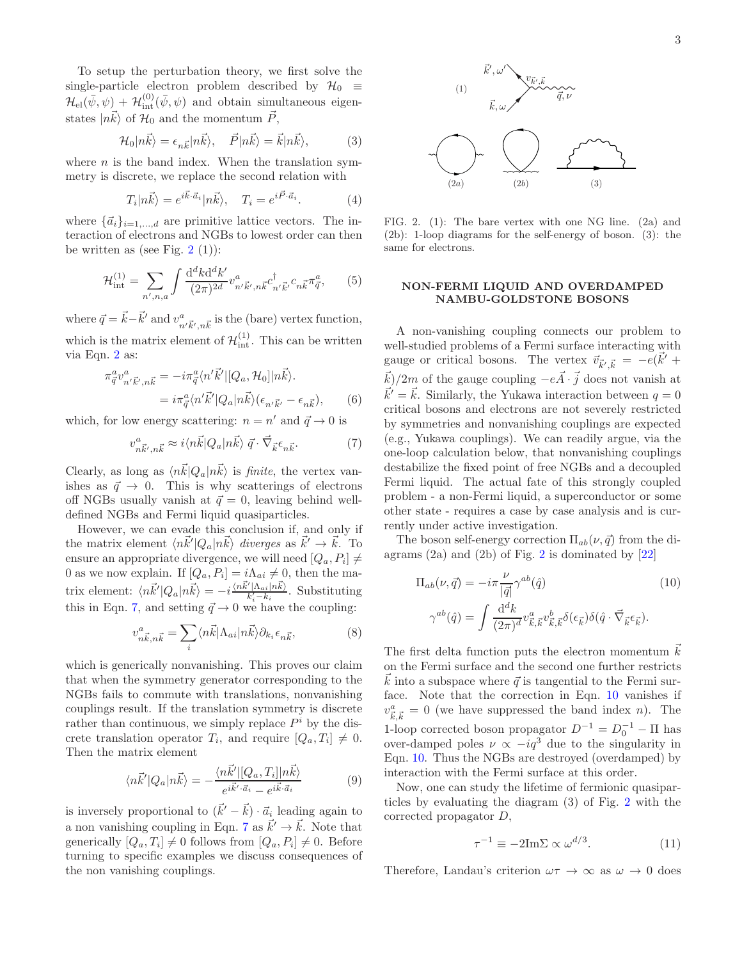To setup the perturbation theory, we first solve the single-particle electron problem described by  $\mathcal{H}_0 \equiv$  $\mathcal{H}_{\text{el}}(\bar{\psi}, \psi)$  +  $\mathcal{H}_{\text{int}}^{(0)}(\bar{\psi}, \psi)$  and obtain simultaneous eigenstates  $|n\vec{k}\rangle$  of  $\mathcal{H}_0$  and the momentum  $\vec{P}$ ,

$$
\mathcal{H}_0|n\vec{k}\rangle = \epsilon_{n\vec{k}}|n\vec{k}\rangle, \quad \vec{P}|n\vec{k}\rangle = \vec{k}|n\vec{k}\rangle, \tag{3}
$$

where  $n$  is the band index. When the translation symmetry is discrete, we replace the second relation with

$$
T_i|n\vec{k}\rangle = e^{i\vec{k}\cdot\vec{a}_i}|n\vec{k}\rangle, \quad T_i = e^{i\vec{P}\cdot\vec{a}_i}.
$$
 (4)

where  $\{\vec{a}_i\}_{i=1,\dots,d}$  are primitive lattice vectors. The interaction of electrons and NGBs to lowest order can then be written as (see Fig.  $2(1)$  $2(1)$ ):

$$
\mathcal{H}^{(1)}_{\text{int}} = \sum_{n',n,a} \int \frac{\mathrm{d}^d k \mathrm{d}^d k'}{(2\pi)^{2d}} v^a_{n'\vec{k}',n\vec{k}} c^{\dagger}_{n'\vec{k}'} c_{n\vec{k}} \pi^a_{\vec{q}},\qquad(5)
$$

where  $\vec{q} = \vec{k} - \vec{k}'$  and  $v^a_{n'\vec{k}',n\vec{k}}$  is the (bare) vertex function, which is the matrix element of  $\mathcal{H}^{(1)}_{int}$ . This can be written via Eqn. [2](#page-1-1) as:

$$
\pi_{\vec{q}}^a v_{n'\vec{k}',n\vec{k}}^a = -i\pi_{\vec{q}}^a \langle n'\vec{k}' | [Q_a, \mathcal{H}_0] | n\vec{k} \rangle.
$$
  

$$
= i\pi_{\vec{q}}^a \langle n'\vec{k}' | Q_a | n\vec{k} \rangle (\epsilon_{n'\vec{k}'} - \epsilon_{n\vec{k}}), \qquad (6)
$$

which, for low energy scattering:  $n = n'$  and  $\vec{q} \to 0$  is

<span id="page-2-1"></span>
$$
v_{n\vec{k}',n\vec{k}}^a \approx i \langle n\vec{k} | Q_a | n\vec{k} \rangle \ \vec{q} \cdot \vec{\nabla}_{\vec{k}} \epsilon_{n\vec{k}}.\tag{7}
$$

Clearly, as long as  $\langle n\vec{k}|Q_a|n\vec{k}\rangle$  is finite, the vertex vanishes as  $\vec{q} \rightarrow 0$ . This is why scatterings of electrons off NGBs usually vanish at  $\vec{q} = 0$ , leaving behind welldefined NGBs and Fermi liquid quasiparticles.

However, we can evade this conclusion if, and only if the matrix element  $\langle n\vec{k}'|Q_a|n\vec{k}\rangle$  diverges as  $\vec{k}' \to \vec{k}$ . To ensure an appropriate divergence, we will need  $[Q_a, P_i] \neq$ 0 as we now explain. If  $[Q_a, P_i] = i\Lambda_{ai} \neq 0$ , then the matrix element:  $\langle n\vec{k}'|Q_a|n\vec{k}\rangle = -i\frac{\langle n\vec{k}'|\Lambda_{ai}|n\vec{k}\rangle}{k'_i-k_i}$ . Substituting this in Eqn. [7,](#page-2-1) and setting  $\vec{q} \rightarrow 0$  we have the coupling:

<span id="page-2-3"></span>
$$
v_{n\vec{k},n\vec{k}}^a = \sum_i \langle n\vec{k} | \Lambda_{ai} | n\vec{k} \rangle \partial_{k_i} \epsilon_{n\vec{k}}, \tag{8}
$$

which is generically nonvanishing. This proves our claim that when the symmetry generator corresponding to the NGBs fails to commute with translations, nonvanishing couplings result. If the translation symmetry is discrete rather than continuous, we simply replace  $P^i$  by the discrete translation operator  $T_i$ , and require  $[Q_a, T_i] \neq 0$ . Then the matrix element

<span id="page-2-4"></span>
$$
\langle n\vec{k}'|Q_a|n\vec{k}\rangle = -\frac{\langle n\vec{k}'|[Q_a,T_i]|n\vec{k}\rangle}{e^{i\vec{k}'\cdot\vec{a}_i} - e^{i\vec{k}\cdot\vec{a}_i}}\tag{9}
$$

is inversely proportional to  $(\vec{k}' - \vec{k}) \cdot \vec{a}$ <sub>i</sub> leading again to a non vanishing coupling in Eqn. [7](#page-2-1) as  $\vec{k}' \to \vec{k}$ . Note that generically  $[Q_a, T_i] \neq 0$  follows from  $[Q_a, P_i] \neq 0$ . Before turning to specific examples we discuss consequences of the non vanishing couplings.



<span id="page-2-0"></span>FIG. 2. (1): The bare vertex with one NG line. (2a) and (2b): 1-loop diagrams for the self-energy of boson. (3): the same for electrons.

# NON-FERMI LIQUID AND OVERDAMPED NAMBU-GOLDSTONE BOSONS

A non-vanishing coupling connects our problem to well-studied problems of a Fermi surface interacting with gauge or critical bosons. The vertex  $\vec{v}_{\vec{k}',\vec{k}} = -e(\vec{k}' + \vec{k}')$  $\vec{k})/2m$  of the gauge coupling  $-e\vec{A}\cdot\vec{j}$  does not vanish at  $\vec{k}' = \vec{k}$ . Similarly, the Yukawa interaction between  $q = 0$ critical bosons and electrons are not severely restricted by symmetries and nonvanishing couplings are expected (e.g., Yukawa couplings). We can readily argue, via the one-loop calculation below, that nonvanishing couplings destabilize the fixed point of free NGBs and a decoupled Fermi liquid. The actual fate of this strongly coupled problem - a non-Fermi liquid, a superconductor or some other state - requires a case by case analysis and is currently under active investigation.

The boson self-energy correction  $\Pi_{ab}(\nu, \vec{q})$  from the diagrams  $(2a)$  $(2a)$  $(2a)$  and  $(2b)$  of Fig. 2 is dominated by  $[22]$ 

<span id="page-2-2"></span>
$$
\Pi_{ab}(\nu, \vec{q}) = -i\pi \frac{\nu}{|\vec{q}|} \gamma^{ab}(\hat{q})
$$
\n
$$
\gamma^{ab}(\hat{q}) = \int \frac{d^d k}{(2\pi)^d} v_{\vec{k}, \vec{k}}^a v_{\vec{k}, \vec{k}}^b \delta(\epsilon_{\vec{k}}) \delta(\hat{q} \cdot \vec{\nabla}_{\vec{k}} \epsilon_{\vec{k}}).
$$
\n(10)

The first delta function puts the electron momentum  $\vec{k}$ on the Fermi surface and the second one further restricts  $\vec{k}$  into a subspace where  $\vec{q}$  is tangential to the Fermi surface. Note that the correction in Eqn. [10](#page-2-2) vanishes if  $v_{\vec{k},\vec{k}}^a = 0$  (we have suppressed the band index *n*). The 1-loop corrected boson propagator  $D^{-1} = D_0^{-1} - \Pi$  has over-damped poles  $\nu \propto -iq^3$  due to the singularity in Eqn. [10.](#page-2-2) Thus the NGBs are destroyed (overdamped) by interaction with the Fermi surface at this order.

Now, one can study the lifetime of fermionic quasiparticles by evaluating the diagram (3) of Fig. [2](#page-2-0) with the corrected propagator D,

$$
\tau^{-1} \equiv -2\mathrm{Im}\Sigma \propto \omega^{d/3}.\tag{11}
$$

Therefore, Landau's criterion  $\omega \tau \to \infty$  as  $\omega \to 0$  does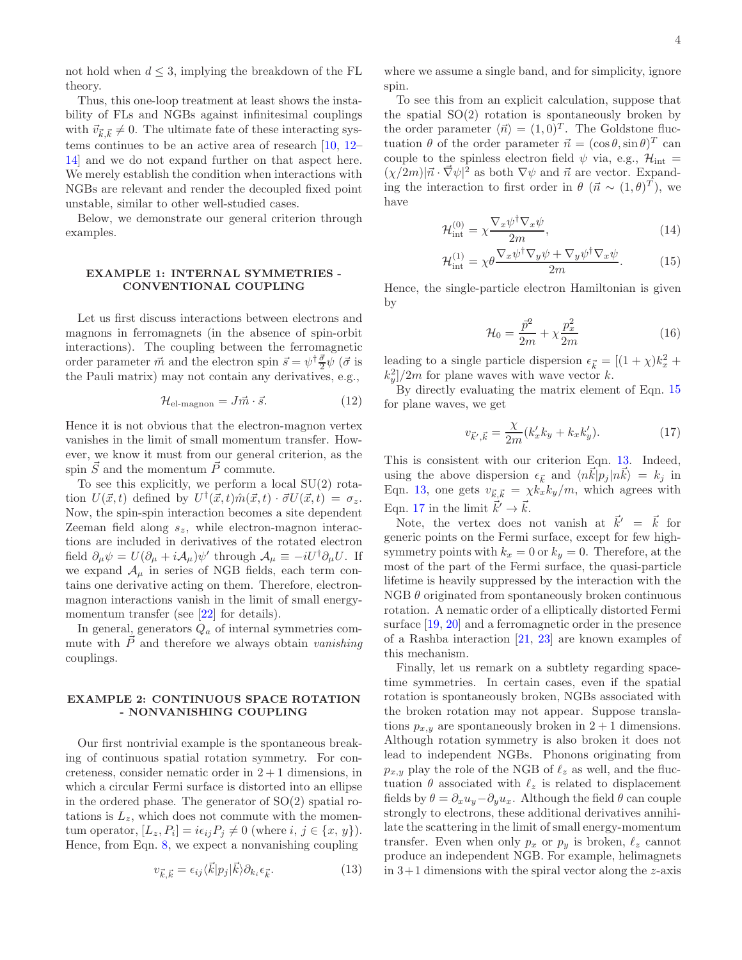not hold when  $d \leq 3$ , implying the breakdown of the FL theory.

Thus, this one-loop treatment at least shows the instability of FLs and NGBs against infinitesimal couplings with  $\vec{v}_{\vec{k},\vec{k}} \neq 0$ . The ultimate fate of these interacting systems continues to be an active area of research [\[10,](#page-5-7) [12](#page-5-8)– [14\]](#page-5-9) and we do not expand further on that aspect here. We merely establish the condition when interactions with NGBs are relevant and render the decoupled fixed point unstable, similar to other well-studied cases.

Below, we demonstrate our general criterion through examples.

## EXAMPLE 1: INTERNAL SYMMETRIES - CONVENTIONAL COUPLING

Let us first discuss interactions between electrons and magnons in ferromagnets (in the absence of spin-orbit interactions). The coupling between the ferromagnetic order parameter  $\vec{m}$  and the electron spin  $\vec{s} = \psi^{\dagger} \frac{\vec{\sigma}}{2} \psi$  ( $\vec{\sigma}$  is the Pauli matrix) may not contain any derivatives, e.g.,

$$
\mathcal{H}_{\text{el-magnon}} = J\vec{m} \cdot \vec{s}.\tag{12}
$$

Hence it is not obvious that the electron-magnon vertex vanishes in the limit of small momentum transfer. However, we know it must from our general criterion, as the spin  $\vec{S}$  and the momentum  $\vec{P}$  commute.

To see this explicitly, we perform a local  $SU(2)$  rotation  $U(\vec{x}, t)$  defined by  $U^{\dagger}(\vec{x}, t) \hat{m}(\vec{x}, t) \cdot \vec{\sigma} U(\vec{x}, t) = \sigma_z$ . Now, the spin-spin interaction becomes a site dependent Zeeman field along  $s_z$ , while electron-magnon interactions are included in derivatives of the rotated electron field  $\partial_{\mu}\psi = U(\partial_{\mu} + i\mathcal{A}_{\mu})\psi'$  through  $\mathcal{A}_{\mu} \equiv -iU^{\dagger}\partial_{\mu}U$ . If we expand  $\mathcal{A}_{\mu}$  in series of NGB fields, each term contains one derivative acting on them. Therefore, electronmagnon interactions vanish in the limit of small energy-momentum transfer (see [\[22\]](#page-5-6) for details).

In general, generators  $Q_a$  of internal symmetries commute with  $\vec{P}$  and therefore we always obtain vanishing couplings.

# EXAMPLE 2: CONTINUOUS SPACE ROTATION - NONVANISHING COUPLING

Our first nontrivial example is the spontaneous breaking of continuous spatial rotation symmetry. For concreteness, consider nematic order in  $2 + 1$  dimensions, in which a circular Fermi surface is distorted into an ellipse in the ordered phase. The generator of  $SO(2)$  spatial rotations is  $L_z$ , which does not commute with the momentum operator,  $[L_z, P_i] = i\epsilon_{ij} P_j \neq 0$  (where  $i, j \in \{x, y\}$ ). Hence, from Eqn. [8,](#page-2-3) we expect a nonvanishing coupling

<span id="page-3-1"></span>
$$
v_{\vec{k},\vec{k}} = \epsilon_{ij} \langle \vec{k} | p_j | \vec{k} \rangle \partial_{k_i} \epsilon_{\vec{k}}.
$$
 (13)

where we assume a single band, and for simplicity, ignore spin.

To see this from an explicit calculation, suppose that the spatial  $SO(2)$  rotation is spontaneously broken by the order parameter  $\langle \vec{n} \rangle = (1, 0)^T$ . The Goldstone fluctuation  $\theta$  of the order parameter  $\vec{n} = (\cos \theta, \sin \theta)^T$  can couple to the spinless electron field  $\psi$  via, e.g.,  $\mathcal{H}_{int}$  =  $(\chi/2m)|\vec{n} \cdot \vec{\nabla}\psi|^2$  as both  $\nabla \psi$  and  $\vec{n}$  are vector. Expanding the interaction to first order in  $\theta$  ( $\vec{n} \sim (1, \theta)^T$ ), we have

<span id="page-3-0"></span>
$$
\mathcal{H}_{\text{int}}^{(0)} = \chi \frac{\nabla_x \psi^\dagger \nabla_x \psi}{2m},\tag{14}
$$

$$
\mathcal{H}^{(1)}_{\text{int}} = \chi \theta \frac{\nabla_x \psi^\dagger \nabla_y \psi + \nabla_y \psi^\dagger \nabla_x \psi}{2m}.
$$
 (15)

Hence, the single-particle electron Hamiltonian is given by

$$
\mathcal{H}_0 = \frac{\vec{p}^2}{2m} + \chi \frac{p_x^2}{2m}
$$
 (16)

leading to a single particle dispersion  $\epsilon_{\vec{k}} = [(1 + \chi)k_x^2 +$  $\langle k_y^2 \rangle / 2m$  for plane waves with wave vector k.

By directly evaluating the matrix element of Eqn. [15](#page-3-0) for plane waves, we get

<span id="page-3-2"></span>
$$
v_{\vec{k}',\vec{k}} = \frac{\chi}{2m}(k'_x k_y + k_x k'_y).
$$
 (17)

This is consistent with our criterion Eqn. [13.](#page-3-1) Indeed, using the above dispersion  $\epsilon_{\vec{k}}$  and  $\langle n\vec{k}|p_j |n\vec{k}\rangle = k_j$  in Eqn. [13,](#page-3-1) one gets  $v_{\vec{k},\vec{k}} = \chi k_x k_y/m$ , which agrees with Eqn. [17](#page-3-2) in the limit  $\vec{k}' \rightarrow \vec{k}$ .

Note, the vertex does not vanish at  $\vec{k}' = \vec{k}$  for generic points on the Fermi surface, except for few highsymmetry points with  $k_x = 0$  or  $k_y = 0$ . Therefore, at the most of the part of the Fermi surface, the quasi-particle lifetime is heavily suppressed by the interaction with the  $NGB \theta$  originated from spontaneously broken continuous rotation. A nematic order of a elliptically distorted Fermi surface [\[19,](#page-5-4) [20](#page-5-10)] and a ferromagnetic order in the presence of a Rashba interaction [\[21,](#page-5-5) [23](#page-5-11)] are known examples of this mechanism.

Finally, let us remark on a subtlety regarding spacetime symmetries. In certain cases, even if the spatial rotation is spontaneously broken, NGBs associated with the broken rotation may not appear. Suppose translations  $p_{x,y}$  are spontaneously broken in  $2+1$  dimensions. Although rotation symmetry is also broken it does not lead to independent NGBs. Phonons originating from  $p_{x,y}$  play the role of the NGB of  $\ell_z$  as well, and the fluctuation  $\theta$  associated with  $\ell_z$  is related to displacement fields by  $\theta = \partial_x u_y - \partial_y u_x$ . Although the field  $\theta$  can couple strongly to electrons, these additional derivatives annihilate the scattering in the limit of small energy-momentum transfer. Even when only  $p_x$  or  $p_y$  is broken,  $\ell_z$  cannot produce an independent NGB. For example, helimagnets in  $3+1$  dimensions with the spiral vector along the z-axis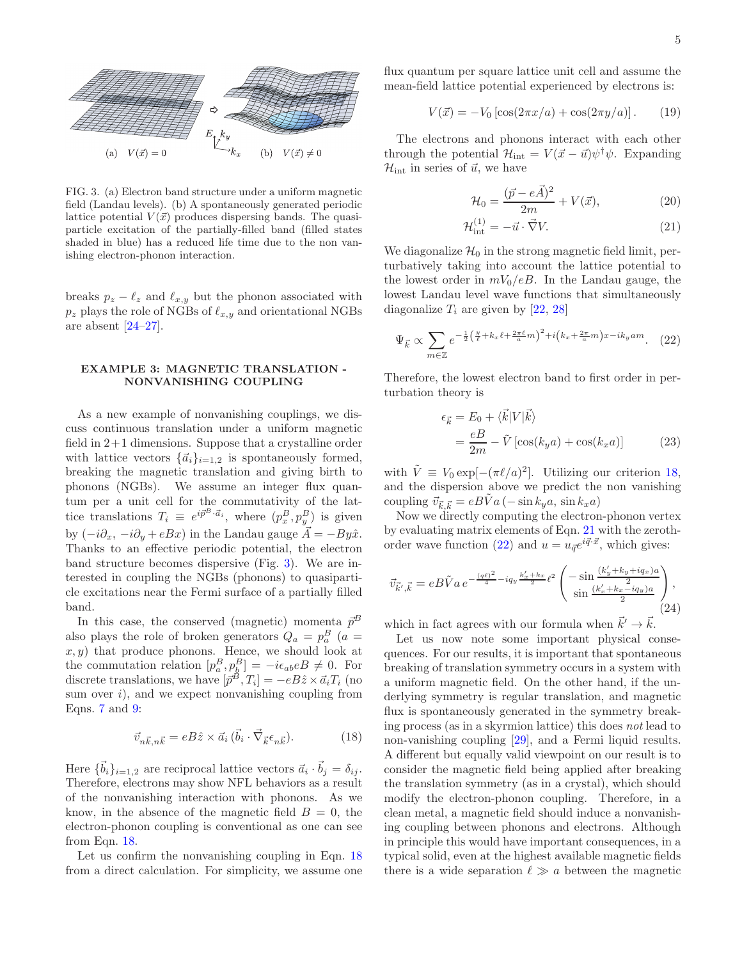

<span id="page-4-0"></span>FIG. 3. (a) Electron band structure under a uniform magnetic field (Landau levels). (b) A spontaneously generated periodic lattice potential  $V(\vec{x})$  produces dispersing bands. The quasiparticle excitation of the partially-filled band (filled states shaded in blue) has a reduced life time due to the non vanishing electron-phonon interaction.

breaks  $p_z - \ell_z$  and  $\ell_{x,y}$  but the phonon associated with  $p_z$  plays the role of NGBs of  $\ell_{x,y}$  and orientational NGBs are absent  $[24-27]$ .

# EXAMPLE 3: MAGNETIC TRANSLATION - NONVANISHING COUPLING

As a new example of nonvanishing couplings, we discuss continuous translation under a uniform magnetic field in 2+1 dimensions. Suppose that a crystalline order with lattice vectors  $\{\vec{a}_i\}_{i=1,2}$  is spontaneously formed, breaking the magnetic translation and giving birth to phonons (NGBs). We assume an integer flux quantum per a unit cell for the commutativity of the lattice translations  $T_i \equiv e^{i\vec{p}^B \cdot \vec{a}_i}$ , where  $(p_x^B, p_y^B)$  is given by  $(-i\partial_x, -i\partial_y + eBx)$  in the Landau gauge  $\vec{A} = -By\hat{x}$ . Thanks to an effective periodic potential, the electron band structure becomes dispersive (Fig. [3\)](#page-4-0). We are interested in coupling the NGBs (phonons) to quasiparticle excitations near the Fermi surface of a partially filled band.

In this case, the conserved (magnetic) momenta  $\vec{p}^B$ also plays the role of broken generators  $Q_a = p_a^B$  (a =  $(x, y)$  that produce phonons. Hence, we should look at the commutation relation  $[p_a^B, p_b^B] = -i\epsilon_{ab}eB \neq 0$ . For discrete translations, we have  $[\vec{p}^B, T_i] = -eB\hat{z} \times \vec{a}_i T_i$  (no sum over  $i$ ), and we expect nonvanishing coupling from Eqns. [7](#page-2-1) and [9:](#page-2-4)

<span id="page-4-1"></span>
$$
\vec{v}_{n\vec{k},n\vec{k}} = eB\hat{z} \times \vec{a}_i \left( \vec{b}_i \cdot \vec{\nabla}_{\vec{k}} \epsilon_{n\vec{k}} \right).
$$
 (18)

Here  $\{\vec{b}_i\}_{i=1,2}$  are reciprocal lattice vectors  $\vec{a}_i \cdot \vec{b}_j = \delta_{ij}$ . Therefore, electrons may show NFL behaviors as a result of the nonvanishing interaction with phonons. As we know, in the absence of the magnetic field  $B = 0$ , the electron-phonon coupling is conventional as one can see from Eqn. [18.](#page-4-1)

Let us confirm the nonvanishing coupling in Eqn. [18](#page-4-1) from a direct calculation. For simplicity, we assume one flux quantum per square lattice unit cell and assume the mean-field lattice potential experienced by electrons is:

$$
V(\vec{x}) = -V_0 \left[ \cos(2\pi x/a) + \cos(2\pi y/a) \right].
$$
 (19)

The electrons and phonons interact with each other through the potential  $\mathcal{H}_{\text{int}} = V(\vec{x} - \vec{u})\psi^{\dagger}\psi$ . Expanding  $\mathcal{H}_{int}$  in series of  $\vec{u}$ , we have

<span id="page-4-2"></span>
$$
\mathcal{H}_0 = \frac{(\vec{p} - e\vec{A})^2}{2m} + V(\vec{x}),
$$
\n(20)

$$
\mathcal{H}_{int}^{(1)} = -\vec{u} \cdot \vec{\nabla} V. \tag{21}
$$

We diagonalize  $\mathcal{H}_0$  in the strong magnetic field limit, perturbatively taking into account the lattice potential to the lowest order in  $mV_0/eB$ . In the Landau gauge, the lowest Landau level wave functions that simultaneously diagonalize  $T_i$  are given by [\[22](#page-5-6), [28](#page-5-14)]

<span id="page-4-3"></span>
$$
\Psi_{\vec{k}} \propto \sum_{m \in \mathbb{Z}} e^{-\frac{1}{2} \left(\frac{y}{\ell} + k_x \ell + \frac{2\pi \ell}{a} m\right)^2 + i\left(k_x + \frac{2\pi}{a} m\right) x - i k_y a m}.
$$
 (22)

Therefore, the lowest electron band to first order in perturbation theory is

$$
\epsilon_{\vec{k}} = E_0 + \langle \vec{k} | V | \vec{k} \rangle
$$
  
= 
$$
\frac{eB}{2m} - \tilde{V} [\cos(k_y a) + \cos(k_x a)]
$$
 (23)

with  $\tilde{V} \equiv V_0 \exp[-(\pi \ell/a)^2]$ . Utilizing our criterion [18,](#page-4-1) and the dispersion above we predict the non vanishing coupling  $\vec{v}_{\vec{k},\vec{k}} = eBVa(-\sin k_ya, \sin k_xa)$ 

Now we directly computing the electron-phonon vertex by evaluating matrix elements of Eqn. [21](#page-4-2) with the zeroth-order wave function [\(22\)](#page-4-3) and  $u = u_{\vec{q}}e^{i\vec{q}\cdot\vec{x}}$ , which gives:

$$
\vec{v}_{\vec{k}',\vec{k}} = eB\tilde{V}a e^{-\frac{(q\ell)^2}{4} - iq_y \frac{k'_x + k_x}{2} \ell^2} \begin{pmatrix} -\sin\frac{(k'_y + k_y + iq_x)a}{2} \\ \sin\frac{(k'_x + k_x - iq_y)a}{2} \end{pmatrix},
$$
\n(24)

which in fact agrees with our formula when  $\vec{k}' \rightarrow \vec{k}$ .

Let us now note some important physical consequences. For our results, it is important that spontaneous breaking of translation symmetry occurs in a system with a uniform magnetic field. On the other hand, if the underlying symmetry is regular translation, and magnetic flux is spontaneously generated in the symmetry breaking process (as in a skyrmion lattice) this does not lead to non-vanishing coupling [\[29\]](#page-5-15), and a Fermi liquid results. A different but equally valid viewpoint on our result is to consider the magnetic field being applied after breaking the translation symmetry (as in a crystal), which should modify the electron-phonon coupling. Therefore, in a clean metal, a magnetic field should induce a nonvanishing coupling between phonons and electrons. Although in principle this would have important consequences, in a typical solid, even at the highest available magnetic fields there is a wide separation  $\ell \gg a$  between the magnetic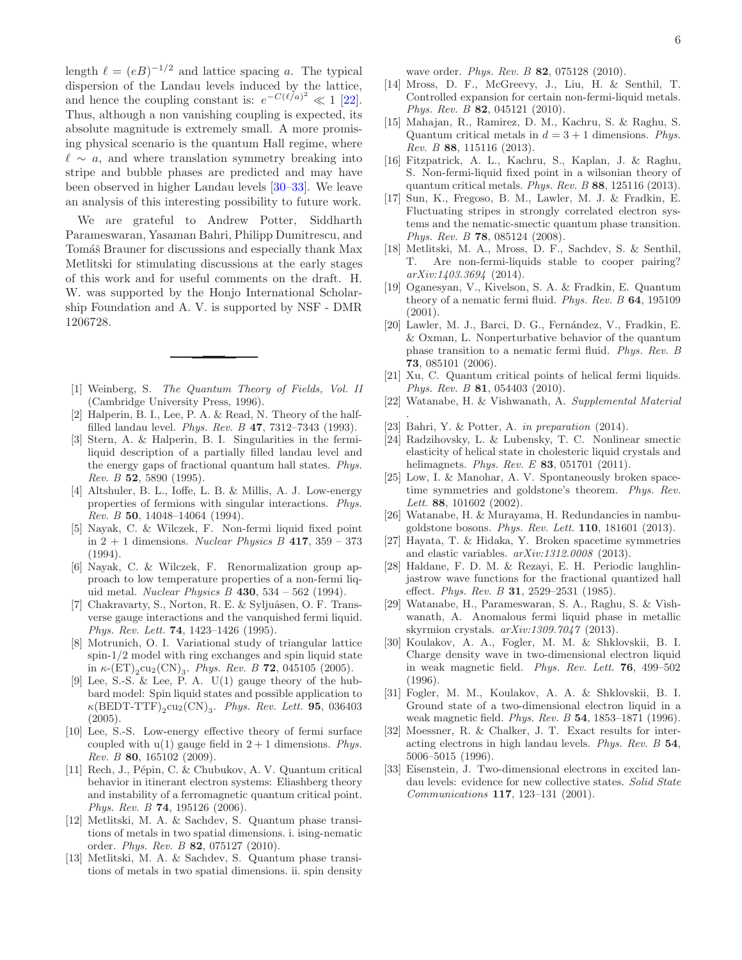length  $\ell = (eB)^{-1/2}$  and lattice spacing a. The typical dispersion of the Landau levels induced by the lattice, and hence the coupling constant is:  $e^{-C(\ell/a)^2} \ll 1$  [\[22\]](#page-5-6). Thus, although a non vanishing coupling is expected, its absolute magnitude is extremely small. A more promising physical scenario is the quantum Hall regime, where  $\ell \sim a$ , and where translation symmetry breaking into stripe and bubble phases are predicted and may have been observed in higher Landau levels [\[30](#page-5-16)[–33\]](#page-5-17). We leave an analysis of this interesting possibility to future work.

We are grateful to Andrew Potter, Siddharth Parameswaran, Yasaman Bahri, Philipp Dumitrescu, and Tomáš Brauner for discussions and especially thank Max Metlitski for stimulating discussions at the early stages of this work and for useful comments on the draft. H. W. was supported by the Honjo International Scholarship Foundation and A. V. is supported by NSF - DMR 1206728.

- <span id="page-5-0"></span>[1] Weinberg, S. *The Quantum Theory of Fields, Vol. II* (Cambridge University Press, 1996).
- <span id="page-5-1"></span>[2] Halperin, B. I., Lee, P. A. & Read, N. Theory of the halffilled landau level. *Phys. Rev. B* 47, 7312–7343 (1993).
- [3] Stern, A. & Halperin, B. I. Singularities in the fermiliquid description of a partially filled landau level and the energy gaps of fractional quantum hall states. *Phys. Rev. B* 52, 5890 (1995).
- [4] Altshuler, B. L., Ioffe, L. B. & Millis, A. J. Low-energy properties of fermions with singular interactions. *Phys. Rev. B* 50, 14048–14064 (1994).
- [5] Nayak, C. & Wilczek, F. Non-fermi liquid fixed point in 2 + 1 dimensions. *Nuclear Physics B* 417, 359 – 373 (1994).
- [6] Nayak, C. & Wilczek, F. Renormalization group approach to low temperature properties of a non-fermi liquid metal. *Nuclear Physics B* 430, 534 – 562 (1994).
- [7] Chakravarty, S., Norton, R. E. & Syljuåsen, O. F. Transverse gauge interactions and the vanquished fermi liquid. *Phys. Rev. Lett.* 74, 1423–1426 (1995).
- [8] Motrunich, O. I. Variational study of triangular lattice spin- $1/2$  model with ring exchanges and spin liquid state in  $\kappa$ - $(\text{ET})_2$ cu<sub>2</sub> $(\text{CN})_3$ . *Phys. Rev. B* **72**, 045105 (2005).
- [9] Lee, S.-S. & Lee, P. A.  $U(1)$  gauge theory of the hubbard model: Spin liquid states and possible application to  $\kappa(\text{BEDT-TTF})_2\text{cu}_2(\text{CN})_3$ . *Phys. Rev. Lett.* **95**, 036403 (2005).
- <span id="page-5-7"></span>[10] Lee, S.-S. Low-energy effective theory of fermi surface coupled with  $u(1)$  gauge field in  $2+1$  dimensions. *Phys. Rev. B* 80, 165102 (2009).
- [11] Rech, J., Pépin, C. & Chubukov, A. V. Quantum critical behavior in itinerant electron systems: Eliashberg theory and instability of a ferromagnetic quantum critical point. *Phys. Rev. B* 74, 195126 (2006).
- <span id="page-5-8"></span>[12] Metlitski, M. A. & Sachdev, S. Quantum phase transitions of metals in two spatial dimensions. i. ising-nematic order. *Phys. Rev. B* 82, 075127 (2010).
- [13] Metlitski, M. A. & Sachdev, S. Quantum phase transitions of metals in two spatial dimensions. ii. spin density

wave order. *Phys. Rev. B* 82, 075128 (2010).

- <span id="page-5-9"></span>[14] Mross, D. F., McGreevy, J., Liu, H. & Senthil, T. Controlled expansion for certain non-fermi-liquid metals. *Phys. Rev. B* 82, 045121 (2010).
- [15] Mahajan, R., Ramirez, D. M., Kachru, S. & Raghu, S. Quantum critical metals in  $d = 3 + 1$  dimensions. *Phys. Rev. B* 88, 115116 (2013).
- [16] Fitzpatrick, A. L., Kachru, S., Kaplan, J. & Raghu, S. Non-fermi-liquid fixed point in a wilsonian theory of quantum critical metals. *Phys. Rev. B* 88, 125116 (2013).
- <span id="page-5-2"></span>[17] Sun, K., Fregoso, B. M., Lawler, M. J. & Fradkin, E. Fluctuating stripes in strongly correlated electron systems and the nematic-smectic quantum phase transition. *Phys. Rev. B* 78, 085124 (2008).
- <span id="page-5-3"></span>[18] Metlitski, M. A., Mross, D. F., Sachdev, S. & Senthil, T. Are non-fermi-liquids stable to cooper pairing? *arXiv:1403.3694* (2014).
- <span id="page-5-4"></span>[19] Oganesyan, V., Kivelson, S. A. & Fradkin, E. Quantum theory of a nematic fermi fluid. *Phys. Rev. B* 64, 195109 (2001).
- <span id="page-5-10"></span>[20] Lawler, M. J., Barci, D. G., Fernández, V., Fradkin, E. & Oxman, L. Nonperturbative behavior of the quantum phase transition to a nematic fermi fluid. *Phys. Rev. B* 73, 085101 (2006).
- <span id="page-5-5"></span>[21] Xu, C. Quantum critical points of helical fermi liquids. *Phys. Rev. B* 81, 054403 (2010).
- <span id="page-5-6"></span>[22] Watanabe, H. & Vishwanath, A. *Supplemental Material*
- <span id="page-5-11"></span>[23] Bahri, Y. & Potter, A. *in preparation* (2014).

.

- <span id="page-5-12"></span>[24] Radzihovsky, L. & Lubensky, T. C. Nonlinear smectic elasticity of helical state in cholesteric liquid crystals and helimagnets. *Phys. Rev. E* 83, 051701 (2011).
- [25] Low, I. & Manohar, A. V. Spontaneously broken spacetime symmetries and goldstone's theorem. *Phys. Rev. Lett.* 88, 101602 (2002).
- [26] Watanabe, H. & Murayama, H. Redundancies in nambugoldstone bosons. *Phys. Rev. Lett.* 110, 181601 (2013).
- <span id="page-5-13"></span>[27] Hayata, T. & Hidaka, Y. Broken spacetime symmetries and elastic variables. *arXiv:1312.0008* (2013).
- <span id="page-5-14"></span>[28] Haldane, F. D. M. & Rezayi, E. H. Periodic laughlinjastrow wave functions for the fractional quantized hall effect. *Phys. Rev. B* 31, 2529–2531 (1985).
- <span id="page-5-15"></span>[29] Watanabe, H., Parameswaran, S. A., Raghu, S. & Vishwanath, A. Anomalous fermi liquid phase in metallic skyrmion crystals. *arXiv:1309.7047* (2013).
- <span id="page-5-16"></span>[30] Koulakov, A. A., Fogler, M. M. & Shklovskii, B. I. Charge density wave in two-dimensional electron liquid in weak magnetic field. *Phys. Rev. Lett.* 76, 499–502 (1996).
- [31] Fogler, M. M., Koulakov, A. A. & Shklovskii, B. I. Ground state of a two-dimensional electron liquid in a weak magnetic field. *Phys. Rev. B* 54, 1853–1871 (1996).
- [32] Moessner, R. & Chalker, J. T. Exact results for interacting electrons in high landau levels. *Phys. Rev. B* 54, 5006–5015 (1996).
- <span id="page-5-17"></span>[33] Eisenstein, J. Two-dimensional electrons in excited landau levels: evidence for new collective states. *Solid State Communications* 117, 123–131 (2001).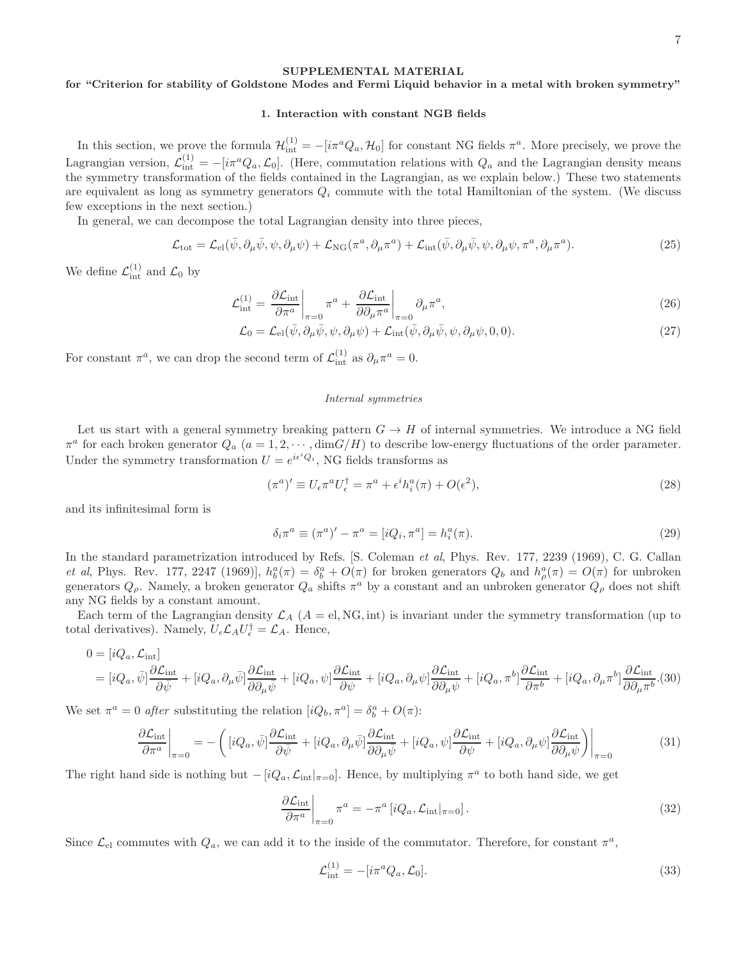#### SUPPLEMENTAL MATERIAL

# for "Criterion for stability of Goldstone Modes and Fermi Liquid behavior in a metal with broken symmetry"

#### 1. Interaction with constant NGB fields

In this section, we prove the formula  $\mathcal{H}^{(1)}_{int} = -[i\pi^a Q_a, \mathcal{H}_0]$  for constant NG fields  $\pi^a$ . More precisely, we prove the Lagrangian version,  $\mathcal{L}_{int}^{(1)} = -[i\pi^a Q_a, \mathcal{L}_0]$ . (Here, commutation relations with  $Q_a$  and the Lagrangian density means the symmetry transformation of the fields contained in the Lagrangian, as we explain below.) These two statements are equivalent as long as symmetry generators  $Q_i$  commute with the total Hamiltonian of the system. (We discuss few exceptions in the next section.)

In general, we can decompose the total Lagrangian density into three pieces,

$$
\mathcal{L}_{\text{tot}} = \mathcal{L}_{\text{el}}(\bar{\psi}, \partial_{\mu}\bar{\psi}, \psi, \partial_{\mu}\psi) + \mathcal{L}_{\text{NG}}(\pi^a, \partial_{\mu}\pi^a) + \mathcal{L}_{\text{int}}(\bar{\psi}, \partial_{\mu}\bar{\psi}, \psi, \partial_{\mu}\psi, \pi^a, \partial_{\mu}\pi^a). \tag{25}
$$

We define  $\mathcal{L}_{int}^{(1)}$  and  $\mathcal{L}_0$  by

$$
\mathcal{L}_{int}^{(1)} = \left. \frac{\partial \mathcal{L}_{int}}{\partial \pi^a} \right|_{\pi=0} \pi^a + \left. \frac{\partial \mathcal{L}_{int}}{\partial \partial_\mu \pi^a} \right|_{\pi=0} \partial_\mu \pi^a,\tag{26}
$$

 $\mathcal{L}_0 = \mathcal{L}_{\text{el}}(\bar{\psi}, \partial_\mu \bar{\psi}, \psi, \partial_\mu \psi) + \mathcal{L}_{\text{int}}(\bar{\psi}, \partial_\mu \bar{\psi}, \psi, \partial_\mu \psi, 0, 0).$  (27)

For constant  $\pi^a$ , we can drop the second term of  $\mathcal{L}^{(1)}_{int}$  as  $\partial_\mu \pi^a = 0$ .

#### *Internal symmetries*

Let us start with a general symmetry breaking pattern  $G \to H$  of internal symmetries. We introduce a NG field  $\pi^a$  for each broken generator  $Q_a$   $(a = 1, 2, \dots, \text{dim}G/H)$  to describe low-energy fluctuations of the order parameter. Under the symmetry transformation  $U = e^{i\epsilon^i Q_i}$ , NG fields transforms as

$$
(\pi^a)' \equiv U_\epsilon \pi^a U_\epsilon^\dagger = \pi^a + \epsilon^i h_i^a(\pi) + O(\epsilon^2),\tag{28}
$$

and its infinitesimal form is

$$
\delta_i \pi^a \equiv (\pi^a)' - \pi^a = [iQ_i, \pi^a] = h_i^a(\pi).
$$
 (29)

In the standard parametrization introduced by Refs. [S. Coleman et al, Phys. Rev. 177, 2239 (1969), C. G. Callan *et al*, Phys. Rev. 177, 2247 (1969)],  $h_b^a(\pi) = \delta_b^a + O(\pi)$  for broken generators  $Q_b$  and  $h_\rho^a(\pi) = O(\pi)$  for unbroken generators  $Q_\rho$ . Namely, a broken generator  $Q_a$  shifts  $\pi^a$  by a constant and an unbroken generator  $Q_\rho$  does not shift any NG fields by a constant amount.

Each term of the Lagrangian density  $\mathcal{L}_A$  ( $A = \text{el}, \text{NG}, \text{int}$ ) is invariant under the symmetry transformation (up to total derivatives). Namely,  $U_{\epsilon} \mathcal{L}_A U_{\epsilon}^{\dagger} = \mathcal{L}_A$ . Hence,

$$
0 = [iQ_a, \mathcal{L}_{int}]
$$
  
=  $[iQ_a, \bar{\psi}]\frac{\partial \mathcal{L}_{int}}{\partial \bar{\psi}} + [iQ_a, \partial_\mu \bar{\psi}]\frac{\partial \mathcal{L}_{int}}{\partial \partial_\mu \bar{\psi}} + [iQ_a, \psi]\frac{\partial \mathcal{L}_{int}}{\partial \psi} + [iQ_a, \partial_\mu \psi]\frac{\partial \mathcal{L}_{int}}{\partial \partial_\mu \psi} + [iQ_a, \pi^b]\frac{\partial \mathcal{L}_{int}}{\partial \pi^b} + [iQ_a, \partial_\mu \pi^b]\frac{\partial \mathcal{L}_{int}}{\partial \partial_\mu \pi^b}.$ (30)

We set  $\pi^a = 0$  after substituting the relation  $[iQ_b, \pi^a] = \delta^a_b + O(\pi)$ :

$$
\frac{\partial \mathcal{L}_{\text{int}}}{\partial \pi^{a}}\bigg|_{\pi=0} = -\left([iQ_{a},\bar{\psi}]\frac{\partial \mathcal{L}_{\text{int}}}{\partial \bar{\psi}} + [iQ_{a},\partial_{\mu}\bar{\psi}]\frac{\partial \mathcal{L}_{\text{int}}}{\partial \partial_{\mu}\bar{\psi}} + [iQ_{a},\psi]\frac{\partial \mathcal{L}_{\text{int}}}{\partial \psi} + [iQ_{a},\partial_{\mu}\psi]\frac{\partial \mathcal{L}_{\text{int}}}{\partial \partial_{\mu}\psi}\right)\bigg|_{\pi=0}
$$
(31)

The right hand side is nothing but  $-[iQ_a, \mathcal{L}_{int}|_{\pi=0}]$ . Hence, by multiplying  $\pi^a$  to both hand side, we get

$$
\left. \frac{\partial \mathcal{L}_{\text{int}}}{\partial \pi^a} \right|_{\pi=0} \pi^a = -\pi^a \left[ iQ_a, \mathcal{L}_{\text{int}} \right|_{\pi=0} \right]. \tag{32}
$$

Since  $\mathcal{L}_{el}$  commutes with  $Q_a$ , we can add it to the inside of the commutator. Therefore, for constant  $\pi^a$ ,

$$
\mathcal{L}_{\text{int}}^{(1)} = -[i\pi^a Q_a, \mathcal{L}_0].\tag{33}
$$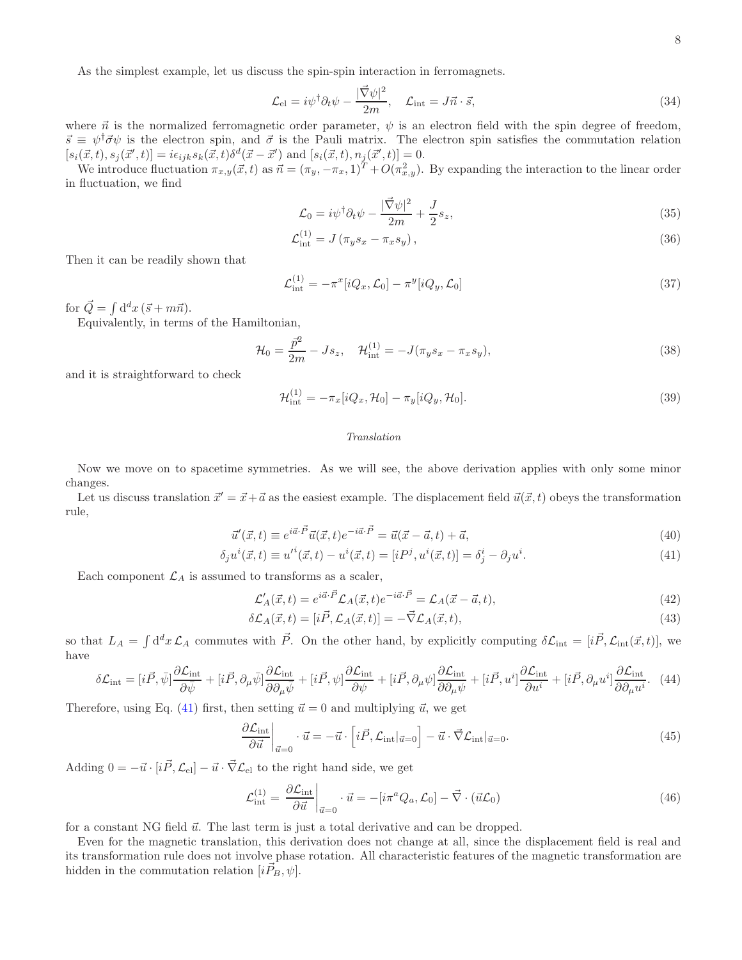As the simplest example, let us discuss the spin-spin interaction in ferromagnets.

$$
\mathcal{L}_{\text{el}} = i\psi^{\dagger} \partial_t \psi - \frac{|\vec{\nabla}\psi|^2}{2m}, \quad \mathcal{L}_{\text{int}} = J\vec{n} \cdot \vec{s}, \tag{34}
$$

where  $\vec{n}$  is the normalized ferromagnetic order parameter,  $\psi$  is an electron field with the spin degree of freedom,  $\vec{s} \equiv \psi^{\dagger} \vec{\sigma} \psi$  is the electron spin, and  $\vec{\sigma}$  is the Pauli matrix. The electron spin satisfies the commutation relation  $[s_i(\vec{x}, t), s_j(\vec{x}', t)] = i\epsilon_{ijk} s_k(\vec{x}, t) \delta^d(\vec{x} - \vec{x}') \text{ and } [s_i(\vec{x}, t), n_j(\vec{x}', t)] = 0.$ 

We introduce fluctuation  $\pi_{x,y}(\vec{x}, t)$  as  $\vec{n} = (\pi_y, -\pi_x, 1)^T + O(\pi_{x,y}^2)$ . By expanding the interaction to the linear order in fluctuation, we find

$$
\mathcal{L}_0 = i\psi^\dagger \partial_t \psi - \frac{|\vec{\nabla}\psi|^2}{2m} + \frac{J}{2} s_z,\tag{35}
$$

$$
\mathcal{L}_{int}^{(1)} = J \left( \pi_y s_x - \pi_x s_y \right),\tag{36}
$$

Then it can be readily shown that

$$
\mathcal{L}_{int}^{(1)} = -\pi^{x}[iQ_{x}, \mathcal{L}_{0}] - \pi^{y}[iQ_{y}, \mathcal{L}_{0}] \tag{37}
$$

for  $\vec{Q} = \int d^d x \, (\vec{s} + m\vec{n}).$ 

Equivalently, in terms of the Hamiltonian,

$$
\mathcal{H}_0 = \frac{\bar{p}^2}{2m} - Js_z, \quad \mathcal{H}_{int}^{(1)} = -J(\pi_y s_x - \pi_x s_y), \tag{38}
$$

and it is straightforward to check

$$
\mathcal{H}_{\text{int}}^{(1)} = -\pi_x[iQ_x, \mathcal{H}_0] - \pi_y[iQ_y, \mathcal{H}_0].
$$
\n(39)

#### *Translation*

Now we move on to spacetime symmetries. As we will see, the above derivation applies with only some minor changes.

Let us discuss translation  $\vec{x}' = \vec{x} + \vec{a}$  as the easiest example. The displacement field  $\vec{u}(\vec{x}, t)$  obeys the transformation rule,

<span id="page-7-0"></span>
$$
\vec{u}'(\vec{x},t) \equiv e^{i\vec{a}\cdot\vec{P}}\vec{u}(\vec{x},t)e^{-i\vec{a}\cdot\vec{P}} = \vec{u}(\vec{x}-\vec{a},t) + \vec{a},\tag{40}
$$

$$
\delta_j u^i(\vec{x}, t) \equiv u'^i(\vec{x}, t) - u^i(\vec{x}, t) = [iP^j, u^i(\vec{x}, t)] = \delta_j^i - \partial_j u^i.
$$
\n(41)

Each component  $\mathcal{L}_A$  is assumed to transforms as a scaler,

$$
\mathcal{L}'_A(\vec{x},t) = e^{i\vec{a}\cdot\vec{P}} \mathcal{L}_A(\vec{x},t) e^{-i\vec{a}\cdot\vec{P}} = \mathcal{L}_A(\vec{x}-\vec{a},t),\tag{42}
$$

$$
\delta \mathcal{L}_A(\vec{x},t) = [i\vec{P}, \mathcal{L}_A(\vec{x},t)] = -\vec{\nabla} \mathcal{L}_A(\vec{x},t),\tag{43}
$$

so that  $L_A = \int d^d x \mathcal{L}_A$  commutes with  $\vec{P}$ . On the other hand, by explicitly computing  $\delta \mathcal{L}_{int} = [i\vec{P}, \mathcal{L}_{int}(\vec{x}, t)],$  we have

$$
\delta \mathcal{L}_{\text{int}} = [i\vec{P}, \bar{\psi}] \frac{\partial \mathcal{L}_{\text{int}}}{\partial \bar{\psi}} + [i\vec{P}, \partial_{\mu} \bar{\psi}] \frac{\partial \mathcal{L}_{\text{int}}}{\partial \partial_{\mu} \bar{\psi}} + [i\vec{P}, \psi] \frac{\partial \mathcal{L}_{\text{int}}}{\partial \psi} + [i\vec{P}, \partial_{\mu} \psi] \frac{\partial \mathcal{L}_{\text{int}}}{\partial \partial_{\mu} \psi} + [i\vec{P}, u^{i}] \frac{\partial \mathcal{L}_{\text{int}}}{\partial u^{i}} + [i\vec{P}, \partial_{\mu} u^{i}] \frac{\partial \mathcal{L}_{\text{int}}}{\partial \partial_{\mu} u^{i}}. (44)
$$

Therefore, using Eq. [\(41\)](#page-7-0) first, then setting  $\vec{u} = 0$  and multiplying  $\vec{u}$ , we get

$$
\frac{\partial \mathcal{L}_{\text{int}}}{\partial \vec{u}}\bigg|_{\vec{u}=0} \cdot \vec{u} = -\vec{u} \cdot \left[ i\vec{P}, \mathcal{L}_{\text{int}}|_{\vec{u}=0} \right] - \vec{u} \cdot \vec{\nabla} \mathcal{L}_{\text{int}}|_{\vec{u}=0}.
$$
\n(45)

Adding  $0 = -\vec{u} \cdot [i\vec{P}, \mathcal{L}_{el}] - \vec{u} \cdot \vec{\nabla} \mathcal{L}_{el}$  to the right hand side, we get

$$
\mathcal{L}_{int}^{(1)} = \left. \frac{\partial \mathcal{L}_{int}}{\partial \vec{u}} \right|_{\vec{u}=0} \cdot \vec{u} = -\left[ i \pi^a Q_a, \mathcal{L}_0 \right] - \vec{\nabla} \cdot (\vec{u} \mathcal{L}_0)
$$
\n(46)

for a constant NG field  $\vec{u}$ . The last term is just a total derivative and can be dropped.

Even for the magnetic translation, this derivation does not change at all, since the displacement field is real and its transformation rule does not involve phase rotation. All characteristic features of the magnetic transformation are hidden in the commutation relation  $[iP_B, \psi]$ .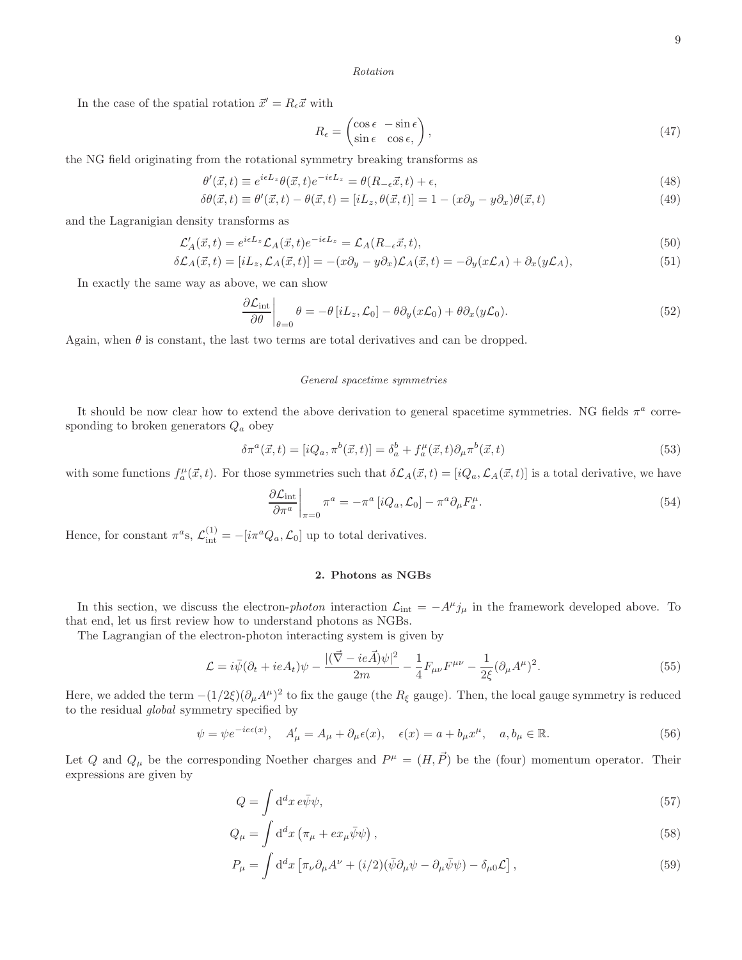#### *Rotation*

In the case of the spatial rotation  $\vec{x}' = R_{\epsilon}\vec{x}$  with

$$
R_{\epsilon} = \begin{pmatrix} \cos \epsilon & -\sin \epsilon \\ \sin \epsilon & \cos \epsilon \end{pmatrix},\tag{47}
$$

the NG field originating from the rotational symmetry breaking transforms as

$$
\theta'(\vec{x},t) \equiv e^{i\epsilon L_z} \theta(\vec{x},t) e^{-i\epsilon L_z} = \theta(R_{-\epsilon}\vec{x},t) + \epsilon,
$$
\n(48)

$$
\delta\theta(\vec{x},t) \equiv \theta'(\vec{x},t) - \theta(\vec{x},t) = [iL_z, \theta(\vec{x},t)] = 1 - (x\partial_y - y\partial_x)\theta(\vec{x},t)
$$
\n(49)

and the Lagranigian density transforms as

$$
\mathcal{L}'_A(\vec{x},t) = e^{i\epsilon L_z} \mathcal{L}_A(\vec{x},t) e^{-i\epsilon L_z} = \mathcal{L}_A(R_{-\epsilon}\vec{x},t),\tag{50}
$$

$$
\delta \mathcal{L}_A(\vec{x}, t) = [iL_z, \mathcal{L}_A(\vec{x}, t)] = -(x\partial_y - y\partial_x)\mathcal{L}_A(\vec{x}, t) = -\partial_y(x\mathcal{L}_A) + \partial_x(y\mathcal{L}_A),\tag{51}
$$

In exactly the same way as above, we can show

$$
\left. \frac{\partial \mathcal{L}_{int}}{\partial \theta} \right|_{\theta=0} \theta = -\theta \left[ iL_z, \mathcal{L}_0 \right] - \theta \partial_y (x\mathcal{L}_0) + \theta \partial_x (y\mathcal{L}_0). \tag{52}
$$

Again, when  $\theta$  is constant, the last two terms are total derivatives and can be dropped.

#### *General spacetime symmetries*

It should be now clear how to extend the above derivation to general spacetime symmetries. NG fields  $\pi^a$  corresponding to broken generators  $Q_a$  obey

$$
\delta \pi^a(\vec{x},t) = [iQ_a, \pi^b(\vec{x},t)] = \delta_a^b + f_a^\mu(\vec{x},t)\partial_\mu \pi^b(\vec{x},t)
$$
\n(53)

with some functions  $f_a^{\mu}(\vec{x},t)$ . For those symmetries such that  $\delta\mathcal{L}_A(\vec{x},t) = [iQ_a, \mathcal{L}_A(\vec{x},t)]$  is a total derivative, we have

$$
\left. \frac{\partial \mathcal{L}_{\text{int}}}{\partial \pi^a} \right|_{\pi=0} \pi^a = -\pi^a \left[ i Q_a, \mathcal{L}_0 \right] - \pi^a \partial_\mu F_a^\mu. \tag{54}
$$

Hence, for constant  $\pi^a$ s,  $\mathcal{L}^{(1)}_{int} = -[i\pi^a Q_a, \mathcal{L}_0]$  up to total derivatives.

#### 2. Photons as NGBs

In this section, we discuss the electron-photon interaction  $\mathcal{L}_{int} = -A^{\mu}j_{\mu}$  in the framework developed above. To that end, let us first review how to understand photons as NGBs.

The Lagrangian of the electron-photon interacting system is given by

<span id="page-8-0"></span>
$$
\mathcal{L} = i\bar{\psi}(\partial_t + ieA_t)\psi - \frac{|(\vec{\nabla} - ie\vec{A})\psi|^2}{2m} - \frac{1}{4}F_{\mu\nu}F^{\mu\nu} - \frac{1}{2\xi}(\partial_\mu A^\mu)^2.
$$
\n(55)

Here, we added the term  $-(1/2\xi)(\partial_\mu A^\mu)^2$  to fix the gauge (the  $R_\xi$  gauge). Then, the local gauge symmetry is reduced to the residual global symmetry specified by

$$
\psi = \psi e^{-ie\epsilon(x)}, \quad A'_{\mu} = A_{\mu} + \partial_{\mu}\epsilon(x), \quad \epsilon(x) = a + b_{\mu}x^{\mu}, \quad a, b_{\mu} \in \mathbb{R}.
$$
\n
$$
(56)
$$

Let Q and  $Q_{\mu}$  be the corresponding Noether charges and  $P^{\mu} = (H, \vec{P})$  be the (four) momentum operator. Their expressions are given by

$$
Q = \int \mathrm{d}^d x \, e \bar{\psi} \psi,\tag{57}
$$

$$
Q_{\mu} = \int d^d x \left( \pi_{\mu} + e x_{\mu} \bar{\psi} \psi \right), \tag{58}
$$

$$
P_{\mu} = \int d^{d}x \left[ \pi_{\nu} \partial_{\mu} A^{\nu} + (i/2)(\bar{\psi} \partial_{\mu} \psi - \partial_{\mu} \bar{\psi} \psi) - \delta_{\mu 0} \mathcal{L} \right],
$$
\n(59)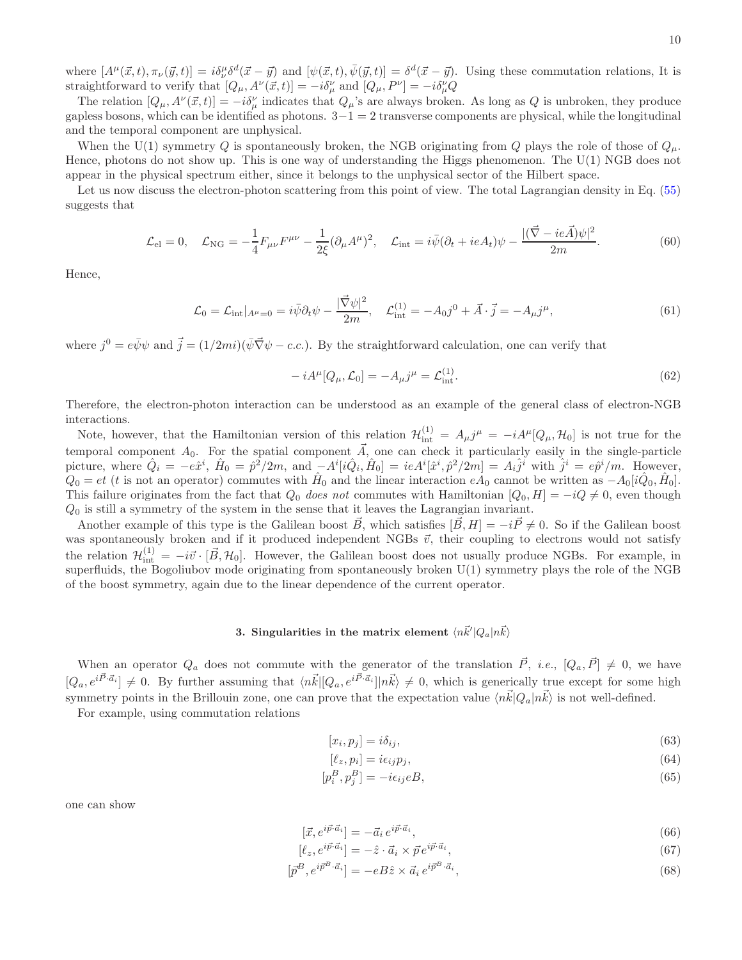where  $[A^{\mu}(\vec{x},t), \pi_{\nu}(\vec{y},t)] = i\delta^{\mu}_{\nu}\delta^{d}(\vec{x}-\vec{y})$  and  $[\psi(\vec{x},t), \bar{\psi}(\vec{y},t)] = \delta^{d}(\vec{x}-\vec{y})$ . Using these commutation relations, It is straightforward to verify that  $[Q_\mu, A^\nu(\vec{x}, t)] = -i\delta^\nu_\mu$  and  $[Q_\mu, P^\nu] = -i\delta^\nu_\mu Q$ 

The relation  $[Q_\mu, A^\nu(\vec{x}, t)] = -i\delta^\nu_\mu$  indicates that  $Q_\mu$ 's are always broken. As long as Q is unbroken, they produce gapless bosons, which can be identified as photons.  $3-1=2$  transverse components are physical, while the longitudinal and the temporal component are unphysical.

When the U(1) symmetry Q is spontaneously broken, the NGB originating from Q plays the role of those of  $Q_{\mu}$ . Hence, photons do not show up. This is one way of understanding the Higgs phenomenon. The U(1) NGB does not appear in the physical spectrum either, since it belongs to the unphysical sector of the Hilbert space.

Let us now discuss the electron-photon scattering from this point of view. The total Lagrangian density in Eq. [\(55\)](#page-8-0) suggests that

$$
\mathcal{L}_{\text{el}} = 0, \quad \mathcal{L}_{\text{NG}} = -\frac{1}{4} F_{\mu\nu} F^{\mu\nu} - \frac{1}{2\xi} (\partial_{\mu} A^{\mu})^2, \quad \mathcal{L}_{\text{int}} = i\bar{\psi} (\partial_t + ieA_t)\psi - \frac{|(\vec{\nabla} - ie\vec{A})\psi|^2}{2m}.
$$
 (60)

Hence,

$$
\mathcal{L}_0 = \mathcal{L}_{int}|_{A^{\mu}=0} = i\bar{\psi}\partial_t\psi - \frac{|\vec{\nabla}\psi|^2}{2m}, \quad \mathcal{L}_{int}^{(1)} = -A_0j^0 + \vec{A}\cdot\vec{j} = -A_{\mu}j^{\mu},\tag{61}
$$

where  $j^0 = e\bar{\psi}\psi$  and  $\vec{j} = (1/2mi)(\bar{\psi}\vec{\nabla}\psi - c.c.)$ . By the straightforward calculation, one can verify that

$$
-iA^{\mu}[Q_{\mu}, \mathcal{L}_0] = -A_{\mu}j^{\mu} = \mathcal{L}_{int}^{(1)}.
$$
\n(62)

Therefore, the electron-photon interaction can be understood as an example of the general class of electron-NGB interactions.

Note, however, that the Hamiltonian version of this relation  $\mathcal{H}^{(1)}_{int} = A_{\mu}j^{\mu} = -iA^{\mu}[Q_{\mu}, \mathcal{H}_0]$  is not true for the temporal component  $A_0$ . For the spatial component  $\overline{A}$ , one can check it particularly easily in the single-particle picture, where  $\hat{Q}_i = -e\hat{x}^i$ ,  $\hat{H}_0 = \hat{p}^2/2m$ , and  $-A^i[i\hat{Q}_i, \hat{H}_0] = ieA^i[\hat{x}^i, \hat{p}^2/2m] = A_i\hat{j}^i$  with  $\hat{j}^i = e\hat{p}^i/m$ . However,  $Q_0 = et$  (*t* is not an operator) commutes with  $\hat{H}_0$  and the linear interaction  $e\hat{A}_0$  cannot be written as  $-A_0[i\hat{Q}_0, \hat{H}_0]$ . This failure originates from the fact that  $Q_0$  does not commutes with Hamiltonian  $[Q_0, H] = -iQ \neq 0$ , even though  $Q_0$  is still a symmetry of the system in the sense that it leaves the Lagrangian invariant.

Another example of this type is the Galilean boost  $\vec{B}$ , which satisfies  $[\vec{B}, H] = -i\vec{P} \neq 0$ . So if the Galilean boost was spontaneously broken and if it produced independent NGBs  $\vec{v}$ , their coupling to electrons would not satisfy the relation  $\mathcal{H}^{(1)}_{\text{int}} = -i\vec{v} \cdot [\vec{B}, \mathcal{H}_0]$ . However, the Galilean boost does not usually produce NGBs. For example, in superfluids, the Bogoliubov mode originating from spontaneously broken U(1) symmetry plays the role of the NGB of the boost symmetry, again due to the linear dependence of the current operator.

# 3. Singularities in the matrix element  $\langle n\vec{k}'|Q_a|n\vec{k}\rangle$

When an operator  $Q_a$  does not commute with the generator of the translation  $\vec{P}$ , *i.e.*,  $[Q_a, \vec{P}] \neq 0$ , we have  $[Q_a, e^{i\vec{P}\cdot \vec{a}_i}] \neq 0$ . By further assuming that  $\langle n\vec{k}|[Q_a, e^{i\vec{P}\cdot \vec{a}_i}]|n\vec{k}\rangle \neq 0$ , which is generically true except for some high symmetry points in the Brillouin zone, one can prove that the expectation value  $\langle n\vec{k}|Q_a|n\vec{k}\rangle$  is not well-defined.

For example, using commutation relations

$$
[x_i, p_j] = i\delta_{ij},\tag{63}
$$

$$
[\ell_z, p_i] = i\epsilon_{ij}p_j,\tag{64}
$$

$$
[p_i^B, p_j^B] = -i\epsilon_{ij}eB,\tag{65}
$$

one can show

$$
[\vec{x}, e^{i\vec{p}\cdot\vec{a}_i}] = -\vec{a}_i e^{i\vec{p}\cdot\vec{a}_i},\tag{66}
$$

$$
[\ell_z, e^{i\vec{p}\cdot\vec{a}_i}] = -\hat{z}\cdot\vec{a}_i \times \vec{p} \, e^{i\vec{p}\cdot\vec{a}_i},\tag{67}
$$

$$
[\vec{p}^B, e^{i\vec{p}^B \cdot \vec{a}_i}] = -eB\hat{z} \times \vec{a}_i e^{i\vec{p}^B \cdot \vec{a}_i},\tag{68}
$$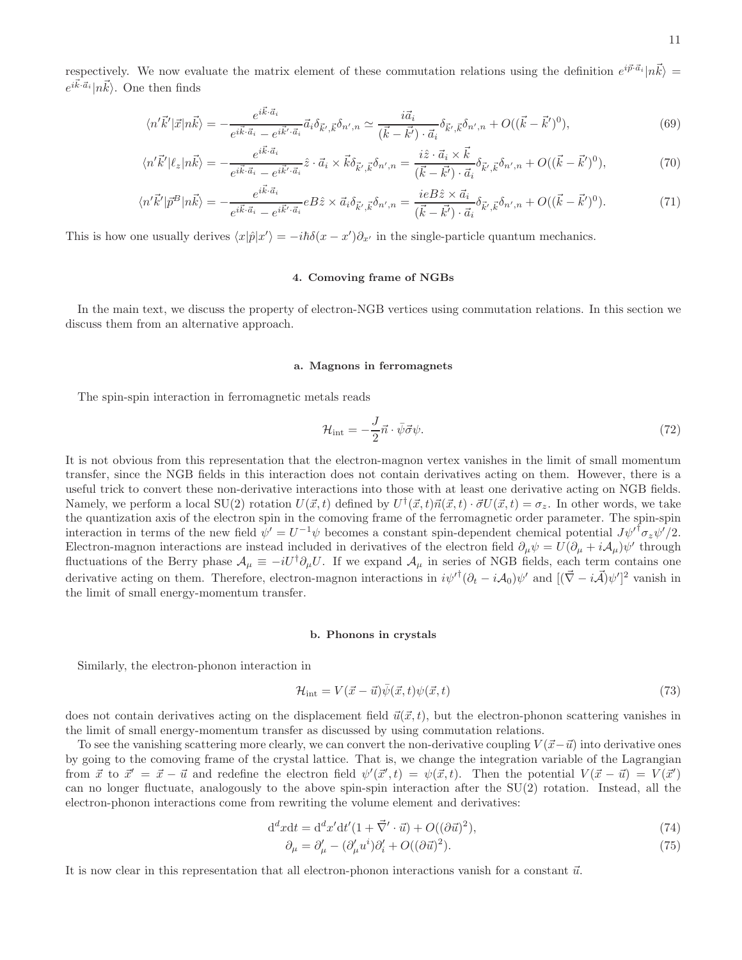respectively. We now evaluate the matrix element of these commutation relations using the definition  $e^{i\vec{p}\cdot\vec{a}_i}$   $|\vec{n}\vec{k}\rangle$  $e^{i\vec{k}\cdot\vec{a}_i}|\vec{n}\cdot\vec{k}\rangle$ . One then finds

$$
\langle n'\vec{k}'|\vec{x}|n\vec{k}\rangle = -\frac{e^{i\vec{k}\cdot\vec{a}_i}}{e^{i\vec{k}\cdot\vec{a}_i} - e^{i\vec{k}'\cdot\vec{a}_i}}\vec{a}_i\delta_{\vec{k}',\vec{k}}\delta_{n',n} \simeq \frac{i\vec{a}_i}{(\vec{k}-\vec{k}')\cdot\vec{a}_i}\delta_{\vec{k}',\vec{k}}\delta_{n',n} + O((\vec{k}-\vec{k}')^0),\tag{69}
$$

$$
\langle n'\vec{k}'|\ell_z|n\vec{k}\rangle = -\frac{e^{i\vec{k}\cdot\vec{a}_i}}{e^{i\vec{k}\cdot\vec{a}_i} - e^{i\vec{k}'\cdot\vec{a}_i}}\hat{z}\cdot\vec{a}_i \times \vec{k}\delta_{\vec{k}',\vec{k}}\delta_{n',n} = \frac{i\hat{z}\cdot\vec{a}_i \times \vec{k}}{(\vec{k}-\vec{k}')\cdot\vec{a}_i}\delta_{\vec{k}',\vec{k}}\delta_{n',n} + O((\vec{k}-\vec{k}')^0),\tag{70}
$$

$$
\langle n'\vec{k}'|\vec{p}^B|n\vec{k}\rangle = -\frac{e^{i\vec{k}\cdot\vec{a}_i}}{e^{i\vec{k}\cdot\vec{a}_i} - e^{i\vec{k}'\cdot\vec{a}_i}}eB\hat{z}\times\vec{a}_i\delta_{\vec{k}',\vec{k}}\delta_{n',n} = \frac{ieB\hat{z}\times\vec{a}_i}{(\vec{k}-\vec{k}')\cdot\vec{a}_i}\delta_{\vec{k}',\vec{k}}\delta_{n',n} + O((\vec{k}-\vec{k}')^0). \tag{71}
$$

This is how one usually derives  $\langle x|\hat{p}|x'\rangle = -i\hbar\delta(x-x')\partial_{x'}$  in the single-particle quantum mechanics.

# 4. Comoving frame of NGBs

In the main text, we discuss the property of electron-NGB vertices using commutation relations. In this section we discuss them from an alternative approach.

#### a. Magnons in ferromagnets

The spin-spin interaction in ferromagnetic metals reads

$$
\mathcal{H}_{\text{int}} = -\frac{J}{2}\vec{n}\cdot\bar{\psi}\vec{\sigma}\psi. \tag{72}
$$

It is not obvious from this representation that the electron-magnon vertex vanishes in the limit of small momentum transfer, since the NGB fields in this interaction does not contain derivatives acting on them. However, there is a useful trick to convert these non-derivative interactions into those with at least one derivative acting on NGB fields. Namely, we perform a local SU(2) rotation  $U(\vec{x}, t)$  defined by  $U^{\dagger}(\vec{x}, t) \vec{n}(\vec{x}, t) \cdot \vec{\sigma} U(\vec{x}, t) = \sigma_z$ . In other words, we take the quantization axis of the electron spin in the comoving frame of the ferromagnetic order parameter. The spin-spin interaction in terms of the new field  $\psi' = U^{-1}\psi$  becomes a constant spin-dependent chemical potential  $J\psi'^{\dagger} \sigma_z \psi'/2$ . Electron-magnon interactions are instead included in derivatives of the electron field  $\partial_{\mu}\psi = U(\partial_{\mu} + iA_{\mu})\psi'$  through fluctuations of the Berry phase  $\mathcal{A}_{\mu} \equiv -iU^{\dagger} \partial_{\mu} U$ . If we expand  $\mathcal{A}_{\mu}$  in series of NGB fields, each term contains one derivative acting on them. Therefore, electron-magnon interactions in  $i\psi'^{\dagger}(\partial_t - i\mathcal{A}_0)\psi'$  and  $[(\vec{\nabla} - i\vec{\mathcal{A}})\psi']^2$  vanish in the limit of small energy-momentum transfer.

#### b. Phonons in crystals

Similarly, the electron-phonon interaction in

$$
\mathcal{H}_{\text{int}} = V(\vec{x} - \vec{u})\bar{\psi}(\vec{x}, t)\psi(\vec{x}, t) \tag{73}
$$

does not contain derivatives acting on the displacement field  $\vec{u}(\vec{x}, t)$ , but the electron-phonon scattering vanishes in the limit of small energy-momentum transfer as discussed by using commutation relations.

To see the vanishing scattering more clearly, we can convert the non-derivative coupling  $V(\vec{x}-\vec{u})$  into derivative ones by going to the comoving frame of the crystal lattice. That is, we change the integration variable of the Lagrangian from  $\vec{x}$  to  $\vec{x}' = \vec{x} - \vec{u}$  and redefine the electron field  $\psi'(\vec{x}', t) = \psi(\vec{x}, t)$ . Then the potential  $V(\vec{x} - \vec{u}) = V(\vec{x}')$ can no longer fluctuate, analogously to the above spin-spin interaction after the SU(2) rotation. Instead, all the electron-phonon interactions come from rewriting the volume element and derivatives:

$$
d^d x dt = d^d x' dt' (1 + \vec{\nabla}' \cdot \vec{u}) + O((\partial \vec{u})^2), \qquad (74)
$$

$$
\partial_{\mu} = \partial'_{\mu} - (\partial'_{\mu}u^{i})\partial'_{i} + O((\partial \vec{u})^{2}).
$$
\n(75)

It is now clear in this representation that all electron-phonon interactions vanish for a constant  $\vec{u}$ .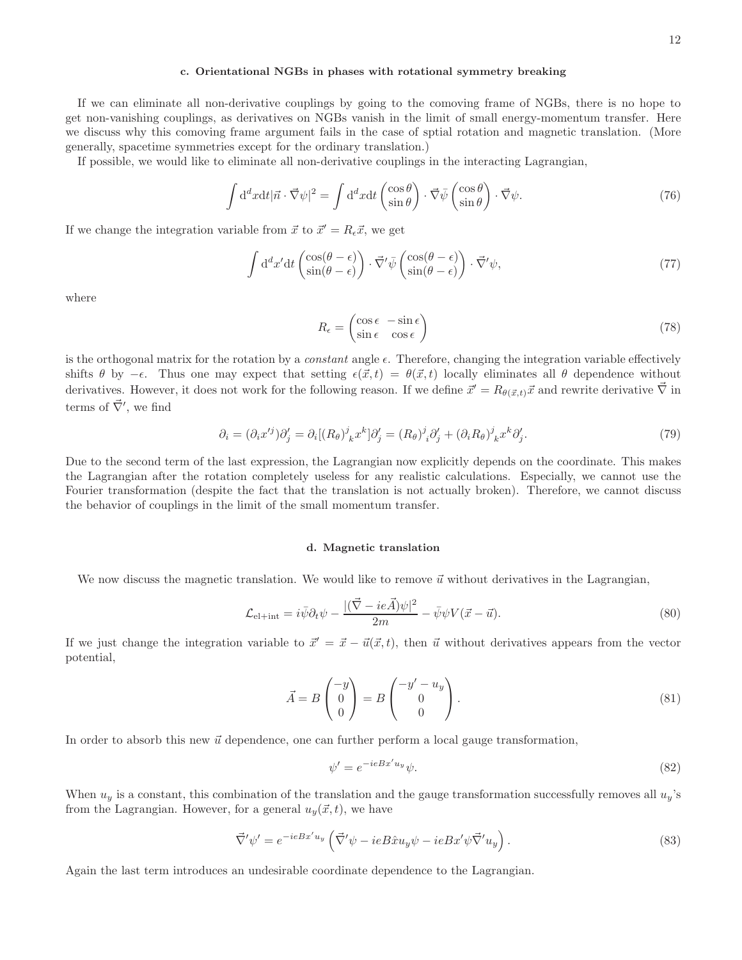#### c. Orientational NGBs in phases with rotational symmetry breaking

If we can eliminate all non-derivative couplings by going to the comoving frame of NGBs, there is no hope to get non-vanishing couplings, as derivatives on NGBs vanish in the limit of small energy-momentum transfer. Here we discuss why this comoving frame argument fails in the case of sptial rotation and magnetic translation. (More generally, spacetime symmetries except for the ordinary translation.)

If possible, we would like to eliminate all non-derivative couplings in the interacting Lagrangian,

$$
\int d^d x dt |\vec{n} \cdot \vec{\nabla}\psi|^2 = \int d^d x dt \begin{pmatrix} \cos \theta \\ \sin \theta \end{pmatrix} \cdot \vec{\nabla}\bar{\psi} \begin{pmatrix} \cos \theta \\ \sin \theta \end{pmatrix} \cdot \vec{\nabla}\psi. \tag{76}
$$

If we change the integration variable from  $\vec{x}$  to  $\vec{x}' = R_{\epsilon}\vec{x}$ , we get

$$
\int d^d x' dt \begin{pmatrix} \cos(\theta - \epsilon) \\ \sin(\theta - \epsilon) \end{pmatrix} \cdot \vec{\nabla}' \bar{\psi} \begin{pmatrix} \cos(\theta - \epsilon) \\ \sin(\theta - \epsilon) \end{pmatrix} \cdot \vec{\nabla}' \psi,
$$
\n(77)

where

$$
R_{\epsilon} = \begin{pmatrix} \cos \epsilon & -\sin \epsilon \\ \sin \epsilon & \cos \epsilon \end{pmatrix}
$$
 (78)

is the orthogonal matrix for the rotation by a *constant* angle  $\epsilon$ . Therefore, changing the integration variable effectively shifts  $\theta$  by  $-\epsilon$ . Thus one may expect that setting  $\epsilon(\vec{x}, t) = \theta(\vec{x}, t)$  locally eliminates all  $\theta$  dependence without derivatives. However, it does not work for the following reason. If we define  $\vec{x}' = R_{\theta(\vec{x},t)}\vec{x}$  and rewrite derivative  $\vec{\nabla}$  in terms of  $\vec{\nabla}'$ , we find

$$
\partial_i = (\partial_i x'^j) \partial'_j = \partial_i [(R_\theta)^j{}_k x^k] \partial'_j = (R_\theta)^j{}_i \partial'_j + (\partial_i R_\theta)^j{}_k x^k \partial'_j. \tag{79}
$$

Due to the second term of the last expression, the Lagrangian now explicitly depends on the coordinate. This makes the Lagrangian after the rotation completely useless for any realistic calculations. Especially, we cannot use the Fourier transformation (despite the fact that the translation is not actually broken). Therefore, we cannot discuss the behavior of couplings in the limit of the small momentum transfer.

# d. Magnetic translation

We now discuss the magnetic translation. We would like to remove  $\vec{u}$  without derivatives in the Lagrangian,

$$
\mathcal{L}_{\text{el+int}} = i\bar{\psi}\partial_t\psi - \frac{|(\vec{\nabla} - ie\vec{A})\psi|^2}{2m} - \bar{\psi}\psi V(\vec{x} - \vec{u}).\tag{80}
$$

If we just change the integration variable to  $\vec{x}' = \vec{x} - \vec{u}(\vec{x}, t)$ , then  $\vec{u}$  without derivatives appears from the vector potential,

$$
\vec{A} = B \begin{pmatrix} -y \\ 0 \\ 0 \end{pmatrix} = B \begin{pmatrix} -y' - u_y \\ 0 \\ 0 \end{pmatrix}.
$$
 (81)

In order to absorb this new  $\vec{u}$  dependence, one can further perform a local gauge transformation,

$$
\psi' = e^{-ieBx'u_y}\psi.
$$
\n(82)

When  $u_y$  is a constant, this combination of the translation and the gauge transformation successfully removes all  $u_y$ 's from the Lagrangian. However, for a general  $u_y(\vec{x}, t)$ , we have

$$
\vec{\nabla}' \psi' = e^{-ieBx'u_y} \left( \vec{\nabla}' \psi - ieB\hat{x}u_y \psi - ieBx'\psi \vec{\nabla}' u_y \right).
$$
\n(83)

Again the last term introduces an undesirable coordinate dependence to the Lagrangian.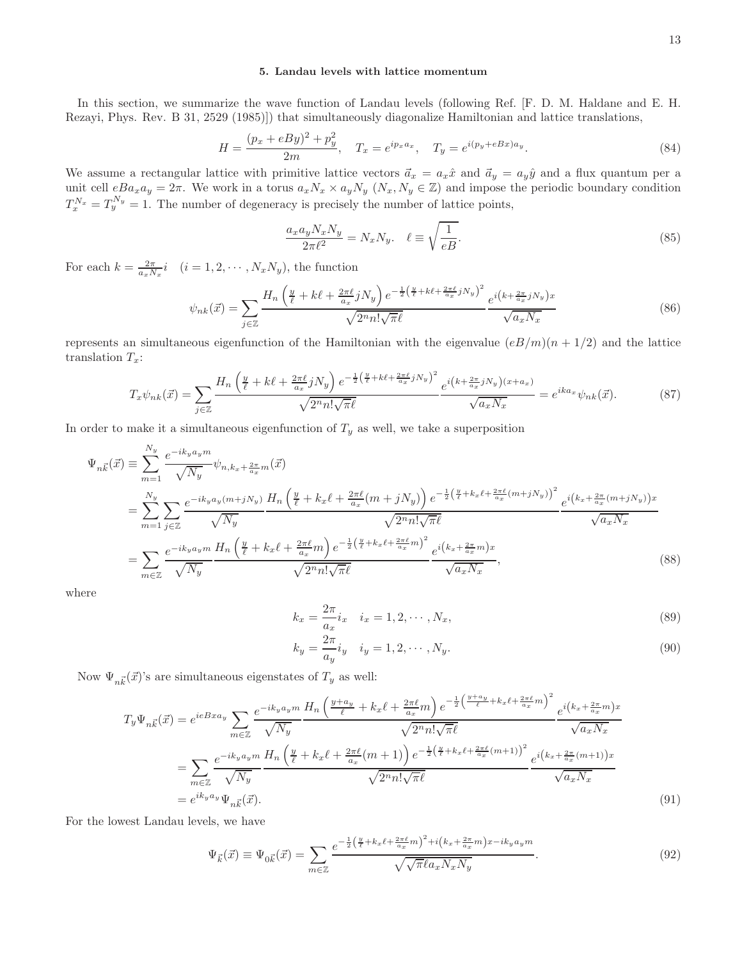In this section, we summarize the wave function of Landau levels (following Ref. [F. D. M. Haldane and E. H. Rezayi, Phys. Rev. B 31, 2529 (1985)]) that simultaneously diagonalize Hamiltonian and lattice translations,

$$
H = \frac{(p_x + eBy)^2 + p_y^2}{2m}, \quad T_x = e^{ip_x a_x}, \quad T_y = e^{i(p_y + eBx)a_y}.
$$
 (84)

We assume a rectangular lattice with primitive lattice vectors  $\vec{a}_x = a_x \hat{x}$  and  $\vec{a}_y = a_y \hat{y}$  and a flux quantum per a unit cell  $eBa_xa_y = 2\pi$ . We work in a torus  $a_xN_x \times a_yN_y$   $(N_x, N_y \in \mathbb{Z})$  and impose the periodic boundary condition  $T_x^{N_x} = T_y^{N_y} = 1$ . The number of degeneracy is precisely the number of lattice points,

$$
\frac{a_x a_y N_x N_y}{2\pi \ell^2} = N_x N_y. \quad \ell \equiv \sqrt{\frac{1}{eB}}.
$$
\n(85)

For each  $k = \frac{2\pi}{a_x N_x} i$   $(i = 1, 2, \cdots, N_x N_y)$ , the function

$$
\psi_{nk}(\vec{x}) = \sum_{j \in \mathbb{Z}} \frac{H_n\left(\frac{y}{\ell} + k\ell + \frac{2\pi\ell}{a_x}jN_y\right)e^{-\frac{1}{2}\left(\frac{y}{\ell} + k\ell + \frac{2\pi\ell}{a_x}jN_y\right)^2}}{\sqrt{2^n n! \sqrt{\pi \ell}}} \frac{e^{i\left(k + \frac{2\pi}{a_x}jN_y\right)x}}{\sqrt{a_x N_x}}
$$
(86)

represents an simultaneous eigenfunction of the Hamiltonian with the eigenvalue  $(eB/m)(n + 1/2)$  and the lattice translation  $T_x$ :

$$
T_x \psi_{nk}(\vec{x}) = \sum_{j \in \mathbb{Z}} \frac{H_n \left(\frac{y}{\ell} + k\ell + \frac{2\pi\ell}{a_x} jN_y\right) e^{-\frac{1}{2}\left(\frac{y}{\ell} + k\ell + \frac{2\pi\ell}{a_x} jN_y\right)^2}}{\sqrt{2^n n! \sqrt{\pi \ell}}} e^{i\left(k + \frac{2\pi}{a_x} jN_y\right)(x + a_x)} = e^{ik a_x} \psi_{nk}(\vec{x}).\tag{87}
$$

In order to make it a simultaneous eigenfunction of  $T_y$  as well, we take a superposition

$$
\Psi_{n\vec{k}}(\vec{x}) = \sum_{m=1}^{N_y} \frac{e^{-ik_y a_y m}}{\sqrt{N_y}} \psi_{n,k_x + \frac{2\pi}{a_x} m}(\vec{x})
$$
\n
$$
= \sum_{m=1}^{N_y} \sum_{j \in \mathbb{Z}} \frac{e^{-ik_y a_y (m+jN_y)} H_n \left(\frac{y}{\ell} + k_x \ell + \frac{2\pi \ell}{a_x} (m+jN_y) \right) e^{-\frac{1}{2} \left(\frac{y}{\ell} + k_x \ell + \frac{2\pi \ell}{a_x} (m+jN_y) \right)^2}}{\sqrt{2^n n! \sqrt{\pi \ell}}} \frac{e^{i \left(k_x + \frac{2\pi}{a_x} (m+jN_y) \right)x}}{\sqrt{a_x N_x}}
$$
\n
$$
= \sum_{m \in \mathbb{Z}} \frac{e^{-ik_y a_y m} H_n \left(\frac{y}{\ell} + k_x \ell + \frac{2\pi \ell}{a_x} m \right) e^{-\frac{1}{2} \left(\frac{y}{\ell} + k_x \ell + \frac{2\pi \ell}{a_x} m\right)^2}}{\sqrt{2^n n! \sqrt{\pi \ell}}} e^{i \left(k_x + \frac{2\pi}{a_x} m\right)x},
$$
\n(88)

where

$$
k_x = \frac{2\pi}{a_x} i_x \quad i_x = 1, 2, \cdots, N_x,
$$
\n(89)

$$
k_y = \frac{2\pi}{a_y} i_y \quad i_y = 1, 2, \cdots, N_y.
$$
\n(90)

Now  $\Psi_{n\vec{k}}(\vec{x})$ 's are simultaneous eigenstates of  $T_y$  as well:

$$
T_y \Psi_{n\vec{k}}(\vec{x}) = e^{ieBxa_y} \sum_{m \in \mathbb{Z}} \frac{e^{-ik_y a_y m}}{\sqrt{N_y}} \frac{H_n \left(\frac{y+a_y}{\ell} + k_x \ell + \frac{2\pi \ell}{a_x} m\right) e^{-\frac{1}{2} \left(\frac{y+a_y}{\ell} + k_x \ell + \frac{2\pi \ell}{a_x} m\right)^2}}{\sqrt{2^n n! \sqrt{\pi \ell}}} \frac{e^{i\left(k_x + \frac{2\pi}{a_x} m\right)x}}{\sqrt{a_x N_x}}
$$

$$
= \sum_{m \in \mathbb{Z}} \frac{e^{-ik_y a_y m}}{\sqrt{N_y}} \frac{H_n \left(\frac{y}{\ell} + k_x \ell + \frac{2\pi \ell}{a_x} (m+1)\right) e^{-\frac{1}{2} \left(\frac{y}{\ell} + k_x \ell + \frac{2\pi \ell}{a_x} (m+1)\right)^2}}{\sqrt{2^n n! \sqrt{\pi \ell}}} \frac{e^{i\left(k_x + \frac{2\pi}{a_x} (m+1)\right)x}}{\sqrt{a_x N_x}}
$$

$$
= e^{ik_y a_y} \Psi_{n\vec{k}}(\vec{x}). \tag{91}
$$

For the lowest Landau levels, we have

$$
\Psi_{\vec{k}}(\vec{x}) \equiv \Psi_{0\vec{k}}(\vec{x}) = \sum_{m \in \mathbb{Z}} \frac{e^{-\frac{1}{2} \left(\frac{y}{\ell} + k_x \ell + \frac{2\pi \ell}{a_x} m\right)^2 + i\left(k_x + \frac{2\pi}{a_x} m\right)x - ik_y a_y m}}{\sqrt{\sqrt{\pi} \ell a_x N_x N_y}}.
$$
\n(92)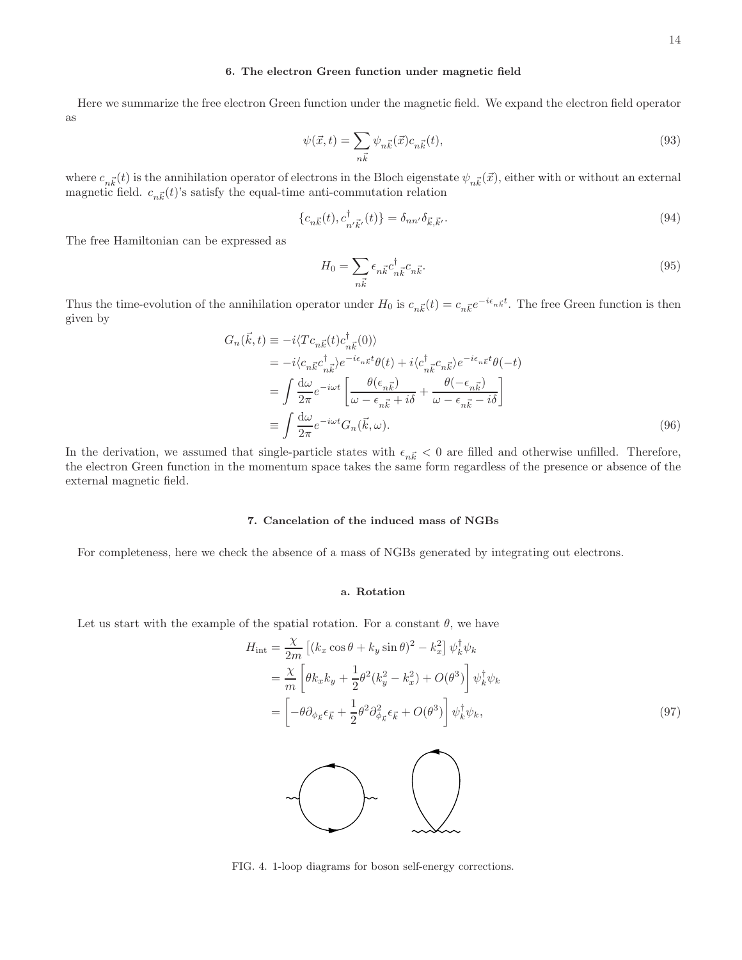# 6. The electron Green function under magnetic field

Here we summarize the free electron Green function under the magnetic field. We expand the electron field operator as

$$
\psi(\vec{x},t) = \sum_{n\vec{k}} \psi_{n\vec{k}}(\vec{x}) c_{n\vec{k}}(t),\tag{93}
$$

where  $c_{n\vec{k}}(t)$  is the annihilation operator of electrons in the Bloch eigenstate  $\psi_{n\vec{k}}(\vec{x})$ , either with or without an external magnetic field.  $c_{n\vec{k}}(t)$ 's satisfy the equal-time anti-commutation relation

$$
\{c_{n\vec{k}}(t), c_{n'\vec{k}'}^{\dagger}(t)\} = \delta_{nn'}\delta_{\vec{k},\vec{k}'}.
$$
\n(94)

The free Hamiltonian can be expressed as

$$
H_0 = \sum_{n\vec{k}} \epsilon_{n\vec{k}} c_{n\vec{k}}^\dagger c_{n\vec{k}}.
$$
\n(95)

Thus the time-evolution of the annihilation operator under  $H_0$  is  $c_{n\vec{k}}(t) = c_{n\vec{k}}e^{-i\epsilon_{n\vec{k}}t}$ . The free Green function is then given by

$$
G_n(\vec{k},t) \equiv -i \langle T c_{n\vec{k}}(t) c_{n\vec{k}}^\dagger(0) \rangle
$$
  
\n
$$
= -i \langle c_{n\vec{k}} c_{n\vec{k}}^\dagger \rangle e^{-i\epsilon_{n\vec{k}}t} \theta(t) + i \langle c_{n\vec{k}}^\dagger c_{n\vec{k}} \rangle e^{-i\epsilon_{n\vec{k}}t} \theta(-t)
$$
  
\n
$$
= \int \frac{d\omega}{2\pi} e^{-i\omega t} \left[ \frac{\theta(\epsilon_{n\vec{k}})}{\omega - \epsilon_{n\vec{k}} + i\delta} + \frac{\theta(-\epsilon_{n\vec{k}})}{\omega - \epsilon_{n\vec{k}} - i\delta} \right]
$$
  
\n
$$
\equiv \int \frac{d\omega}{2\pi} e^{-i\omega t} G_n(\vec{k}, \omega).
$$
 (96)

In the derivation, we assumed that single-particle states with  $\epsilon_{n\vec{k}} < 0$  are filled and otherwise unfilled. Therefore, the electron Green function in the momentum space takes the same form regardless of the presence or absence of the external magnetic field.

# 7. Cancelation of the induced mass of NGBs

For completeness, here we check the absence of a mass of NGBs generated by integrating out electrons.

# a. Rotation

Let us start with the example of the spatial rotation. For a constant  $\theta$ , we have

$$
H_{int} = \frac{\chi}{2m} \left[ (k_x \cos \theta + k_y \sin \theta)^2 - k_x^2 \right] \psi_k^\dagger \psi_k
$$
  
\n
$$
= \frac{\chi}{m} \left[ \theta k_x k_y + \frac{1}{2} \theta^2 (k_y^2 - k_x^2) + O(\theta^3) \right] \psi_k^\dagger \psi_k
$$
  
\n
$$
= \left[ -\theta \partial_{\phi_{\vec{k}}} \epsilon_{\vec{k}} + \frac{1}{2} \theta^2 \partial_{\phi_{\vec{k}}}^2 \epsilon_{\vec{k}} + O(\theta^3) \right] \psi_k^\dagger \psi_k,
$$
\n(97)

<span id="page-13-0"></span>FIG. 4. 1-loop diagrams for boson self-energy corrections.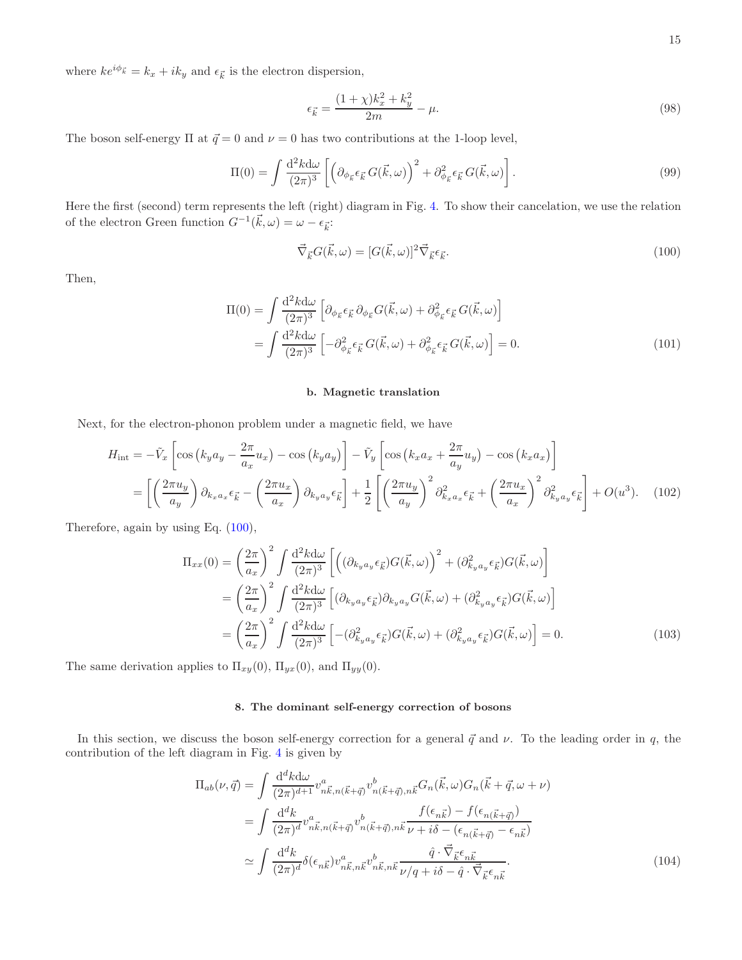where  $ke^{i\phi_{\vec{k}}}=k_x+ik_y$  and  $\epsilon_{\vec{k}}$  is the electron dispersion,

$$
\epsilon_{\vec{k}} = \frac{(1+\chi)k_x^2 + k_y^2}{2m} - \mu.
$$
\n(98)

The boson self-energy  $\Pi$  at  $\vec{q} = 0$  and  $\nu = 0$  has two contributions at the 1-loop level,

$$
\Pi(0) = \int \frac{\mathrm{d}^2 k \mathrm{d}\omega}{(2\pi)^3} \left[ \left( \partial_{\phi_{\vec{k}}} \epsilon_{\vec{k}} G(\vec{k}, \omega) \right)^2 + \partial_{\phi_{\vec{k}}}^2 \epsilon_{\vec{k}} G(\vec{k}, \omega) \right]. \tag{99}
$$

Here the first (second) term represents the left (right) diagram in Fig. [4.](#page-13-0) To show their cancelation, we use the relation of the electron Green function  $G^{-1}(\vec{k}, \omega) = \omega - \epsilon_{\vec{k}}$ :

<span id="page-14-0"></span>
$$
\vec{\nabla}_{\vec{k}} G(\vec{k}, \omega) = [G(\vec{k}, \omega)]^2 \vec{\nabla}_{\vec{k}} \epsilon_{\vec{k}}.
$$
\n(100)

Then,

$$
\Pi(0) = \int \frac{\mathrm{d}^2 k \mathrm{d}\omega}{(2\pi)^3} \left[ \partial_{\phi_{\vec{k}}} \epsilon_{\vec{k}} \partial_{\phi_{\vec{k}}} G(\vec{k}, \omega) + \partial_{\phi_{\vec{k}}}^2 \epsilon_{\vec{k}} G(\vec{k}, \omega) \right]
$$
  
= 
$$
\int \frac{\mathrm{d}^2 k \mathrm{d}\omega}{(2\pi)^3} \left[ -\partial_{\phi_{\vec{k}}}^2 \epsilon_{\vec{k}} G(\vec{k}, \omega) + \partial_{\phi_{\vec{k}}}^2 \epsilon_{\vec{k}} G(\vec{k}, \omega) \right] = 0.
$$
 (101)

## b. Magnetic translation

Next, for the electron-phonon problem under a magnetic field, we have

$$
H_{\rm int} = -\tilde{V}_x \left[ \cos \left( k_y a_y - \frac{2\pi}{a_x} u_x \right) - \cos \left( k_y a_y \right) \right] - \tilde{V}_y \left[ \cos \left( k_x a_x + \frac{2\pi}{a_y} u_y \right) - \cos \left( k_x a_x \right) \right]
$$

$$
= \left[ \left( \frac{2\pi u_y}{a_y} \right) \partial_{k_x a_x} \epsilon_{\vec{k}} - \left( \frac{2\pi u_x}{a_x} \right) \partial_{k_y a_y} \epsilon_{\vec{k}} \right] + \frac{1}{2} \left[ \left( \frac{2\pi u_y}{a_y} \right)^2 \partial_{k_x a_x}^2 \epsilon_{\vec{k}} + \left( \frac{2\pi u_x}{a_x} \right)^2 \partial_{k_y a_y}^2 \epsilon_{\vec{k}} \right] + O(u^3). \quad (102)
$$

Therefore, again by using Eq. [\(100\)](#page-14-0),

$$
\Pi_{xx}(0) = \left(\frac{2\pi}{a_x}\right)^2 \int \frac{d^2k d\omega}{(2\pi)^3} \left[ \left( (\partial_{k_y a_y} \epsilon_{\vec{k}}) G(\vec{k}, \omega) \right)^2 + (\partial_{k_y a_y}^2 \epsilon_{\vec{k}}) G(\vec{k}, \omega) \right]
$$
  
\n
$$
= \left(\frac{2\pi}{a_x}\right)^2 \int \frac{d^2k d\omega}{(2\pi)^3} \left[ (\partial_{k_y a_y} \epsilon_{\vec{k}}) \partial_{k_y a_y} G(\vec{k}, \omega) + (\partial_{k_y a_y}^2 \epsilon_{\vec{k}}) G(\vec{k}, \omega) \right]
$$
  
\n
$$
= \left(\frac{2\pi}{a_x}\right)^2 \int \frac{d^2k d\omega}{(2\pi)^3} \left[ -(\partial_{k_y a_y}^2 \epsilon_{\vec{k}}) G(\vec{k}, \omega) + (\partial_{k_y a_y}^2 \epsilon_{\vec{k}}) G(\vec{k}, \omega) \right] = 0.
$$
 (103)

The same derivation applies to  $\Pi_{xy}(0)$ ,  $\Pi_{yx}(0)$ , and  $\Pi_{yy}(0)$ .

## 8. The dominant self-energy correction of bosons

In this section, we discuss the boson self-energy correction for a general  $\vec{q}$  and  $\nu$ . To the leading order in q, the contribution of the left diagram in Fig. [4](#page-13-0) is given by

$$
\Pi_{ab}(\nu,\vec{q}) = \int \frac{\mathrm{d}^d k \mathrm{d}\omega}{(2\pi)^{d+1}} v_{n\vec{k},n(\vec{k}+\vec{q})}^a v_{n(\vec{k}+\vec{q}),n\vec{k}}^b G_n(\vec{k},\omega) G_n(\vec{k}+\vec{q},\omega+\nu)
$$
  
\n
$$
= \int \frac{\mathrm{d}^d k}{(2\pi)^d} v_{n\vec{k},n(\vec{k}+\vec{q})}^a v_{n(\vec{k}+\vec{q}),n\vec{k}}^b \frac{f(\epsilon_{n\vec{k}})-f(\epsilon_{n(\vec{k}+\vec{q})})}{\nu+i\delta-(\epsilon_{n(\vec{k}+\vec{q})}-\epsilon_{n\vec{k}})}
$$
  
\n
$$
\simeq \int \frac{\mathrm{d}^d k}{(2\pi)^d} \delta(\epsilon_{n\vec{k}}) v_{n\vec{k},n\vec{k}}^a v_{n\vec{k},n\vec{k}}^b \frac{\hat{q} \cdot \vec{\nabla}_{\vec{k}} \epsilon_{n\vec{k}}}{\nu/q+i\delta-\hat{q} \cdot \vec{\nabla}_{\vec{k}} \epsilon_{n\vec{k}}}.
$$
 (104)